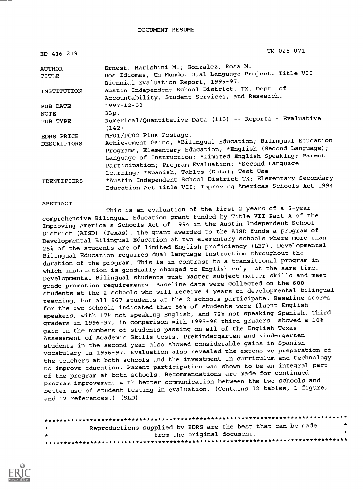| ED 416 219         | TM 028 071                                                         |
|--------------------|--------------------------------------------------------------------|
| <b>AUTHOR</b>      | Ernest, Harishini M.; Gonzalez, Rosa M.                            |
| TITLE              | Dos Idiomas, Un Mundo. Dual Language Project. Title VII            |
|                    | Biennial Evaluation Report, 1995-97.                               |
| INSTITUTION        | Austin Independent School District, TX. Dept. of                   |
|                    | Accountability, Student Services, and Research.                    |
| PUB DATE           | 1997-12-00                                                         |
| NOTE               | 33p.                                                               |
| PUB TYPE           | Numerical/Quantitative Data (110) -- Reports - Evaluative<br>(142) |
| EDRS PRICE         | MF01/PC02 Plus Postage.                                            |
| <b>DESCRIPTORS</b> | Achievement Gains; *Bilingual Education; Bilingual Education       |
|                    | Programs; Elementary Education; *English (Second Language);        |
|                    | Language of Instruction; *Limited English Speaking; Parent         |
|                    | Participation; Program Evaluation; *Second Language                |
|                    | Learning; *Spanish; Tables (Data); Test Use                        |
| <b>IDENTIFIERS</b> | *Austin Independent School District TX; Elementary Secondary       |
|                    | Education Act Title VII; Improving Americas Schools Act 1994       |

#### ABSTRACT

This is an evaluation of the first 2 years of a 5-year comprehensive Bilingual Education grant funded by Title VII Part A of the Improving America's Schools Act of 1994 in the Austin Independent School District (AISD) (Texas). The grant awarded to the AISD funds a program of Developmental Bilingual Education at two elementary schools where more than 25% of the students are of limited English proficiency (LEP). Developmental Bilingual Education requires dual language instruction throughout the duration of the program. This is in contrast to a transitional program in which instruction is gradually changed to English-only. At the same time, Developmental Bilingual students must master subject matter skills and meet grade promotion requirements. Baseline data were collected on the 600 students at the 2 schools who will receive 4 years of developmental bilingual teaching, but all 967 students at the 2 schools participate. Baseline scores for the two schools indicated that 56% of students were fluent English speakers, with 17% not speaking English, and 72% not speaking Spanish. Third graders in 1996-97, in comparison with 1995-96 third graders, showed a 10% gain in the numbers of students passing on all of the English Texas Assessment of Academic Skills tests. Prekindergarten and kindergarten students in the second year also showed considerable gains in Spanish vocabulary in 1996-97. Evaluation also revealed the extensive preparation of the teachers at both schools and the investment in curriculum and technology to improve education. Parent participation was shown to be an integral part of the program at both schools. Recommendations are made for continued program improvement with better communication between the two schools and better use of student testing in evaluation. (Contains 12 tables, 1 figure, and 12 references.) (SLD)

| $\pm$ | Reproductions supplied by EDRS are the best that can be made | * |
|-------|--------------------------------------------------------------|---|
| $\pm$ | from the original document.                                  |   |
|       |                                                              |   |

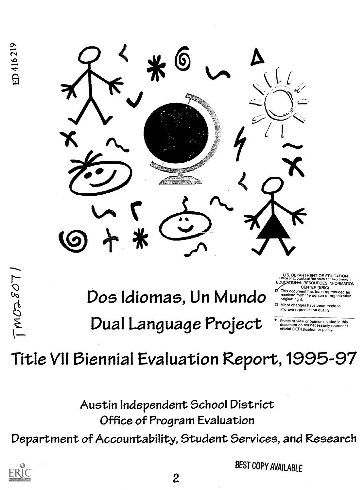

 $\ddot{\mathbf{Q}}$  $\frac{1}{2}$ 

 $\mathbb{D}$ os Idiomas, Un Mundo  $\mathbb{D}$ <sup>CENTER (ERIC)</sup> Dual Language Project

U.S. DEPARTMENT OF EDUCATION EDUCATIONAL RESOURCES INFORMATION<br>CENTER (ERIC)

- originating it. This document has been reproduced as<br>received from the person or organization
- Minor changes have been made to improve reproduction quality.

Points of view or opinions stated in this document do not necessarily represent official OERI position or policy.

# Title VII Biennial Evaluation Report,1995-97

Austin Independent School District Office of Program Evaluation Department of Accountability, Student Services, and Research



BEST COPY AVAILABLE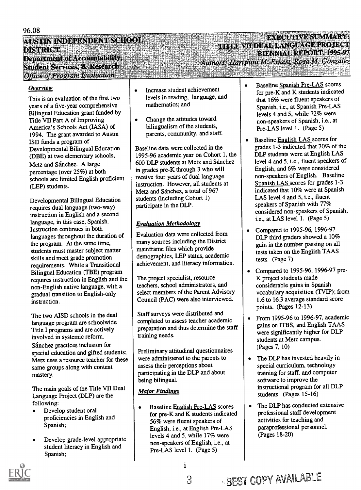## AUSTIN INDEPENDENT SCHOOL .<br>DISTRICT Denartment of Accountability, Student Services, & Research Office of Program Evaluation

#### Overview

This is an evaluation of the first two years of a five-year comprehensive Bilingual Education grant funded by Title VII Part A of Improving America's Schools Act (IASA) of 1994. The grant awarded to Austin ISD funds a program of Developmental Bilingual Education (DBE) at two elementary schools, Metz and Sánchez. A large percentage (over 25%) at both schools are limited English proficient (LEP) students.

Developmental Bilingual Education requires dual language (two-way) instruction in English and a second language, in this case, Spanish. Instruction continues in both languages throughout the duration of the program. At the same time, students must master subject matter skills and meet grade promotion requirements. While a Transitional Bilingual Education (TBE) program requires instruction in English and the non-English native language, with a gradual transition to English-only instruction.

The two AISD schools in the dual language program are schoolwide Title I programs and are actively involved in systemic reform. Sánchez practices inclusion for special education and gifted students; Metz uses a resource teacher for these same groups along with content mastery.

The main goals of the Title VII Dual Language Project (DLP) are the following:

- Develop student oral proficiencies in English and Spanish;
- Develop grade-level appropriate student literacy in English and Spanish;
- Increase student achievement  $\bullet$ levels in reading, language, and mathematics; and
- Change the attitudes toward bilingualism of the students, parents, community, and staff.

Baseline data were collected in the 1995-96 academic year on Cohort 1, the 600 DLP students at Metz and Sanchez in grades pre-K through 3 who will receive four years of dual language instruction. However, all students at Metz and Sánchez, a total of 967 students (including Cohort 1) participate in the DLP.

## Evaluation Methodology

Evaluation data were collected from many sources including the District mainframe files which provide demographics, LEP status, academic achievement, and literacy information.

The project specialist, resource teachers, school administrators, and select members of the Parent Advisory Council (PAC) were also interviewed.

Staff surveys were distributed and completed to assess teacher academic preparation and thus determine the staff training needs.

Preliminary attitudinal questionnaires were administered to the parents to  $\|\bullet\|$ assess their perceptions about participating in the DLP and about being bilingual.

## Major Findings

Baseline English Pre-LAS scores for pre-K and K students indicated 56% were fluent speakers of English, i.e., at English Pre-LAS levels 4 and 5, while 17% were non-speakers of English, i.e., at Pre-LAS level 1. (Page 5)

1

Baseline Spanish Pre-LAS scores  $\bullet$ for pre-K and K students indicated that 16% were fluent speakers of Spanish, i.e., at Spanish Pre-LAS levels 4 and 5, while 72% were non-speakers of Spanish, i.e., at Pre-LAS level 1. (Page 5)

**ExecutivE SUMMARY: TITLE VII DUAL LANGUAGE PROJECT** 

**The fact of the first product** 

Authors: Harishini M. Ernest, Rosa M. Gonzalez

BIENNIAL REPORT, 1995-97

- Baseline English LAS scores for grades 1-3 indicated that 70% of the DLP students were at English LAS level 4 and 5, i.e., fluent speakers of English, and 6% were considered non-speakers of English. Baseline Spanish LAS scores for grades 1-3 indicated that 10% were at Spanish LAS level 4 and 5, i.e., fluent speakers of Spanish with 77% considered non-speakers of Spanish, i.e., at LAS level 1. (Page 5)
- Compared to 1995-96, 1996-97 DLP third graders showed a 10% gain in the number passing on all tests taken on the English TAAS tests. (Page 7)
- Compared to 1995-96, 1996-97 pre-K project students made considerable gains in Spanish vocabulary acquisition (TVIP); from 1.6 to 16.3 average standard score points. (Pages 12-13)
- From 1995-96 to 1996-97, academic gains on ITBS, and English TAAS were significantly higher for DLP students at Metz campus. (Pages 7, 10)
- The DLP has invested heavily in special curriculum, technology training for staff, and computer software to improve the instructional program for all DLP students. (Pages 15-16)
- The DLP has conducted extensive professional staff development activities for teaching and paraprofessional personnel. (Pages 18-20)

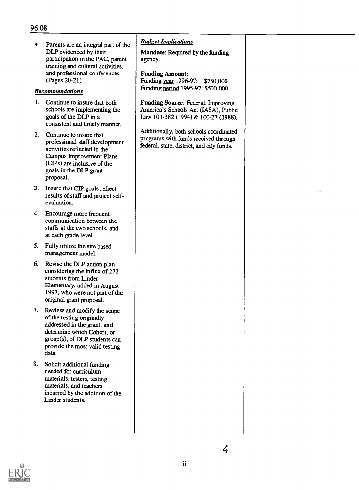Parents are an integral part of the  $\bullet$ DLP evidenced by their participation in the PAC, parent training and cultural activities, and professional conferences. (Pages 20-21)

#### Recommendations

- 1. Continue to insure that both schools are implementing the goals of the DLP in a consistent and timely manner.
- 2. Continue to insure that professional staff development activities reflected in the Campus Improvement Plans (CIPs) are inclusive of the goals in the DLP grant proposal.
- 3. Insure that CIP goals reflect results of staff and project selfevaluation.
- 4. Encourage more frequent communication between the staffs at the two schools, and at each grade level.
- 5. Fully utilize the site based management model.
- 6. Revise the DLP action plan considering the influx of 272 students from Linder Elementary, added in August 1997, who were not part of the original grant proposal.
- 7. Review and modify the scope of the testing originally addressed in the grant; and determine which Cohort, or group(s), of DLP students can provide the most valid testing data.
- 8. Solicit additional funding needed for curriculum materials, testers, testing materials, and teachers incurred by the addition of the Linder students.

#### Budget Implications

Mandate: Required by the funding agency.

Funding Amount: Funding year 1996-97: \$250,000 Funding period 1995-97: \$500,000

Funding Source: Federal. Improving America's Schools Act (IASA), Public Law 103-382 (1994) & 100-27 (1988).

Additionally, both schools coordinated programs with funds received through federal, state, district, and city funds.

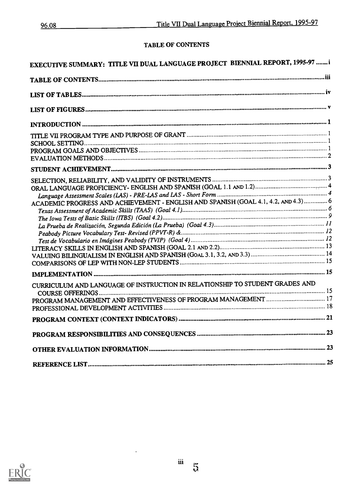## TABLE OF CONTENTS

| EXECUTIVE SUMMARY: TITLE VII DUAL LANGUAGE PROJECT BIENNIAL REPORT, 1995-97 i       |  |
|-------------------------------------------------------------------------------------|--|
|                                                                                     |  |
|                                                                                     |  |
|                                                                                     |  |
|                                                                                     |  |
|                                                                                     |  |
|                                                                                     |  |
|                                                                                     |  |
|                                                                                     |  |
|                                                                                     |  |
|                                                                                     |  |
|                                                                                     |  |
|                                                                                     |  |
|                                                                                     |  |
|                                                                                     |  |
| ACADEMIC PROGRESS AND ACHIEVEMENT - ENGLISH AND SPANISH (GOAL 4.1, 4.2, AND 4.3)  6 |  |
|                                                                                     |  |
|                                                                                     |  |
|                                                                                     |  |
|                                                                                     |  |
|                                                                                     |  |
|                                                                                     |  |
|                                                                                     |  |
|                                                                                     |  |
|                                                                                     |  |
| CURRICULUM AND LANGUAGE OF INSTRUCTION IN RELATIONSHIP TO STUDENT GRADES AND        |  |
|                                                                                     |  |
|                                                                                     |  |
|                                                                                     |  |
|                                                                                     |  |
|                                                                                     |  |
|                                                                                     |  |
|                                                                                     |  |
|                                                                                     |  |
|                                                                                     |  |



 $\ddot{\phantom{0}}$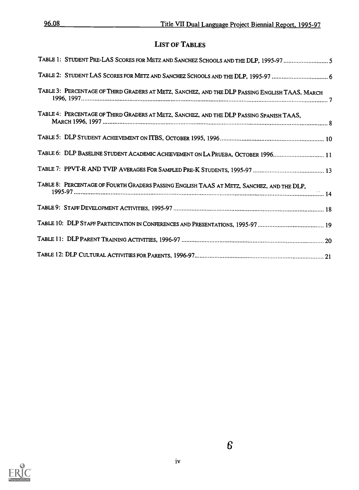## LIST OF TABLES

| TABLE 1: STUDENT PRE-LAS SCORES FOR METZ AND SANCHEZ SCHOOLS AND THE DLP, 1995-97 5            |  |
|------------------------------------------------------------------------------------------------|--|
|                                                                                                |  |
| TABLE 3: PERCENTAGE OF THIRD GRADERS AT METZ, SANCHEZ, AND THE DLP PASSING ENGLISH TAAS, MARCH |  |
| TABLE 4: PERCENTAGE OF THIRD GRADERS AT METZ, SANCHEZ, AND THE DLP PASSING SPANISH TAAS,       |  |
|                                                                                                |  |
| TABLE 6: DLP BASELINE STUDENT ACADEMIC ACHIEVEMENT ON LA PRUEBA, OCTOBER 1996 11               |  |
|                                                                                                |  |
| TABLE 8: PERCENTAGE OF FOURTH GRADERS PASSING ENGLISH TAAS AT METZ, SANCHEZ, AND THE DLP,      |  |
|                                                                                                |  |
|                                                                                                |  |
|                                                                                                |  |
|                                                                                                |  |

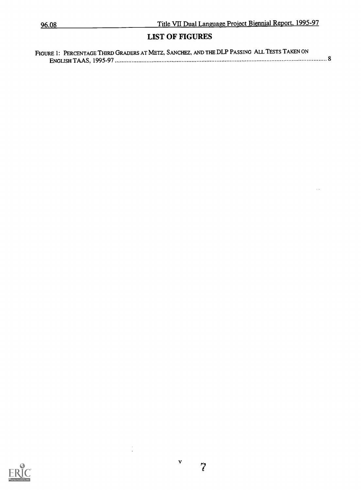$\sim$   $\sim$ 

## LIST OF FIGURES

| FIGURE 1: PERCENTAGE THIRD GRADERS AT METZ, SANCHEZ, AND THE DLP PASSING ALL TESTS TAKEN ON |  |
|---------------------------------------------------------------------------------------------|--|
|                                                                                             |  |



 $\frac{1}{2}$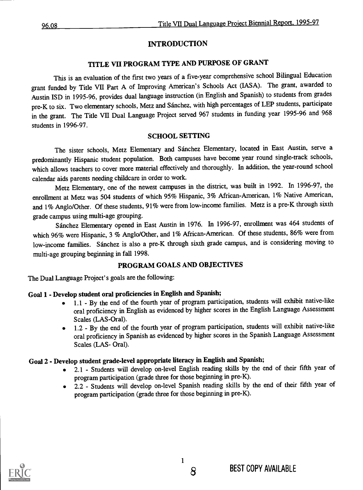## INTRODUCTION

## TITLE VII PROGRAM TYPE AND PURPOSE OF GRANT

This is an evaluation of the first two years of a five-year comprehensive school Bilingual Education grant funded by Title VII Part A of Improving American's Schools Act (IASA). The grant, awarded to Austin ISD in 1995-96, provides dual language instruction (in English and Spanish) to students from grades pre-K to six. Two elementary schools, Metz and Sanchez, with high percentages of LEP students, participate in the grant. The Title VII Dual Language Project served 967 students in funding year 1995-96 and 968 students in 1996-97.

## SCHOOL SETTING

The sister schools, Metz Elementary and Sanchez Elementary, located in East Austin, serve a predominantly Hispanic student population. Both campuses have become year round single-track schools, which allows teachers to cover more material effectively and thoroughly. In addition, the year-round school calendar aids parents needing childcare in order to work.

Metz Elementary, one of the newest campuses in the district, was built in 1992. In 1996-97, the enrollment at Metz was 504 students of which 95% Hispanic, 3% African-American, 1% Native American, and 1% Anglo/Other. Of these students, 91% were from low-income families. Metz is a pre-K through sixth grade campus using multi-age grouping.

Sanchez Elementary opened in East Austin in 1976. In 1996-97, enrollment was 464 students of which 96% were Hispanic, 3 % Anglo/Other, and 1% African-American. Of these students, 86% were from low-income families. Sánchez is also a pre-K through sixth grade campus, and is considering moving to multi-age grouping beginning in fall 1998.

## PROGRAM GOALS AND OBJECTIVES

The Dual Language Project's goals are the following:

## Goal 1 - Develop student oral proficiencies in English and Spanish;

- 1.1 By the end of the fourth year of program participation, students will exhibit native-like oral proficiency in English as evidenced by higher scores in the English Language Assessment Scales (LAS-Oral).
- 1.2 By the end of the fourth year of program participation, students will exhibit native-like oral proficiency in Spanish as evidenced by higher scores in the Spanish Language Assessment Scales (LAS- Oral).

## Goal 2 - Develop student grade-level appropriate literacy in English and Spanish;

- 2.1 Students will develop on-level English reading skills by the end of their fifth year of program participation (grade three for those beginning in pre-K).
- 2.2 Students will develop on-level Spanish reading skills by the end of their fifth year of program participation (grade three for those beginning in pre-K).

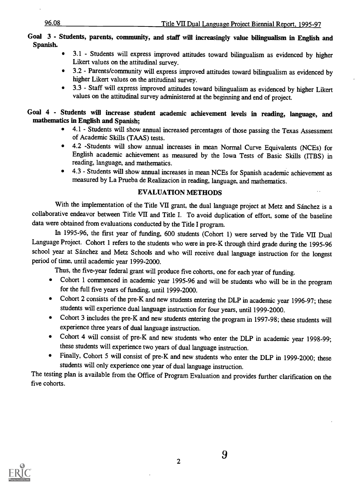#### Goal 3 - Students, parents, community, and staff will increasingly value bilingualism in English and Spanish.

- 3.1 Students will express improved attitudes toward bilingualism as evidenced by higher Likert values on the attitudinal survey.
- 3.2 Parents/community will express improved attitudes toward bilingualism as evidenced by higher Likert values on the attitudinal survey.
- 3.3 Staff will express improved attitudes toward bilingualism as evidenced by higher Likert values on the attitudinal survey administered at the beginning and end of project.

Goal 4 - Students will increase student academic achievement levels in reading, language, and mathematics in English and Spanish;

- 4.1 Students will show annual increased percentages of those passing the Texas Assessment  $\bullet$ of Academic Skills (TAAS) tests.
- 4.2 -Students will show annual increases in mean Normal Curve Equivalents (NCEs) for English academic achievement as measured by the Iowa Tests of Basic Skills (ITBS) in reading, language, and mathematics.
- 4.3 Students will show annual increases in mean NCEs for Spanish academic achievement as  $\bullet$ measured by La Prueba de Realizacion in reading, language, and mathematics.

#### EVALUATION METHODS

With the implementation of the Title VII grant, the dual language project at Metz and Sánchez is a collaborative endeavor between Title VII and Title I. To avoid duplication of effort, some of the baseline data were obtained from evaluations conducted by the Title I program.

In 1995-96, the first year of funding, 600 students (Cohort 1) were served by the Title VII Dual Language Project. Cohort 1 refers to the students who were in pre-K through third grade during the 1995-96 school year at Sanchez and Metz Schools and who will receive dual language instruction for the longest period of time, until academic year 1999-2000.

Thus, the five-year federal grant will produce five cohorts, one for each year of funding.

- Cohort 1 commenced in academic year 1995-96 and will be students who will be in the program for the full five years of funding, until 1999-2000.
- Cohort 2 consists of the pre-K and new students entering the DLP in academic year 1996-97; these students will experience dual language instruction for four years, until 1999-2000.
- Cohort 3 includes the pre-K and new students entering the program in 1997-98; these students will experience three years of dual language instruction.
- Cohort 4 will consist of pre-K and new students who enter the DLP in academic year 1998-99; these students will experience two years of dual language instruction.
- Finally, Cohort 5 will consist of pre-K and new students who enter the DLP in 1999-2000; these students will only experience one year of dual language instruction.

The testing plan is available from the Office of Program Evaluation and provides further clarification on the five cohorts.

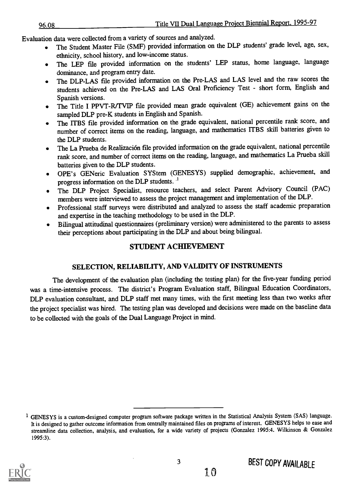Evaluation data were collected from a variety of sources and analyzed.

- The Student Master File (SMF) provided information on the DLP students' grade level, age, sex, ethnicity, school history, and low-income status.
- The LEP file provided information on the students' LEP status, home language, language  $\bullet$ dominance, and program entry date.
- The DLP-LAS file provided information on the Pre-LAS and LAS level and the raw scores the  $\bullet$ students achieved on the Pre-LAS and LAS Oral Proficiency Test - short form, English and Spanish versions.
- The Title I PPVT-R/TVIP file provided mean grade equivalent (GE) achievement gains on the  $\bullet$ sampled DLP pre-K students in English and Spanish.
- The ITBS file provided information on the grade equivalent, national percentile rank score, and number of correct items on the reading, language, and mathematics ITBS skill batteries given to the DLP students.
- The La Prueba de Realizacion file provided information on the grade equivalent, national percentile rank score, and number of correct items on the reading, language, and mathematics La Prueba skill batteries given to the DLP students.
- OPE's GENeric Evaluation SYStem (GENESYS) supplied demographic, achievement, and progress information on the DLP students.<sup>1</sup>
- The DLP Project Specialist, resource teachers, and select Parent Advisory Council (PAC) members were interviewed to assess the project management and implementation of the DLP.
- Professional staff surveys were distributed and analyzed to assess the staff academic preparation and expertise in the teaching methodology to be used in the DLP.
- Bilingual attitudinal questionnaires (preliminary version) were administered to the parents to assess their perceptions about participating in the DLP and about being bilingual.

## STUDENT ACHIEVEMENT

## SELECTION, RELIABILITY, AND VALIDITY OF INSTRUMENTS

The development of the evaluation plan (including the testing plan) for the five-year funding period was a time-intensive process. The district's Program Evaluation staff, Bilingual Education Coordinators, DLP evaluation consultant, and DLP staff met many times, with the first meeting less than two weeks after the project specialist was hired. The testing plan was developed and decisions were made on the baseline data to be collected with the goals of the Dual Language Project in mind.

<sup>&</sup>lt;sup>1</sup> GENESYS is a custom-designed computer program software package written in the Statistical Analysis System (SAS) language. It is designed to gather outcome information from centrally maintained files on programs of interest. GENESYS helps to ease and streamline data collection, analysis, and evaluation, for a wide variety of projects (Gonzalez 1995:4. Wilkinson & Gonzalez 1995:3).



10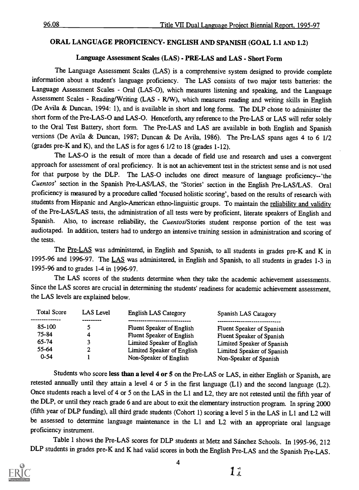#### ORAL LANGUAGE PROFICIENCY- ENGLISH AND SPANISH (GOAL 1.1 AND 1.2)

## Language Assessment Scales (LAS) - PRE-LAS and LAS - Short Form

The Language Assessment Scales (LAS) is a comprehensive system designed to provide complete information about a student's language proficiency. The LAS consists of two major tests batteries: the Language Assessment Scales - Oral (LAS-0), which measures listening and speaking, and the Language Assessment Scales - Reading/Writing (LAS - R/W), which measures reading and writing skills in English (De Avila & Duncan, 1994: 1), and is available in short and long forms. The DLP chose to administer the short form of the Pre-LAS-0 and LAS -O. Henceforth, any reference to the Pre-LAS or LAS will refer solely to the Oral Test Battery, short form. The Pre-LAS and LAS are available in both English and Spanish versions (De Avila & Duncan, 1987; Duncan & De Avila, 1986). The Pre-LAS spans ages 4 to 6 1/2 (grades pre-K and K), and the LAS is for ages 6 1/2 to 18 (grades 1-12).

The LAS-0 is the result of more than a decade of field use and research and uses a convergent approach for assessment of oral proficiency. It is not an achievement test in the strictest sense and is not used for that purpose by the DLP. The LAS-O includes one direct measure of language proficiency--'the Cuentos' section in the Spanish Pre-LAS/LAS, the 'Stories' section in the English Pre-LAS/LAS. Oral proficiency is measured by a procedure called 'focused holistic scoring', based on the results of research with students from Hispanic and Anglo-American ethno-linguistic groups. To maintain the reliability and validity of the Pre-LAS/LAS tests, the administration of all tests were by proficient, literate speakers of English and<br>Spanish. Also, to increase reliability the *Cuentos*/Stories student response portion of the test was Also, to increase reliability, the Cuentos/Stories student response portion of the test was audiotaped. In addition, testers had to undergo an intensive training session in administration and scoring of the tests.

The Pre-LAS was administered, in English and Spanish, to all students in grades pre-K and K in 1995-96 and 1996-97. The LAS was administered, in English and Spanish, to all students in grades 1-3 in 1995-96 and to grades 1-4 in 1996-97.

The LAS scores of the students determine when they take the academic achievement assessments. Since the LAS scores are crucial in determining the students' readiness for academic achievement assessment, the LAS levels are explained below.

| <b>Total Score</b> | LAS Level | <b>English LAS Category</b> | Spanish LAS Catagory       |
|--------------------|-----------|-----------------------------|----------------------------|
| 85-100             |           | Fluent Speaker of English   |                            |
| 75-84              |           |                             | Fluent Speaker of Spanish  |
| 65-74              |           | Fluent Speaker of English   | Fluent Speaker of Spanish  |
| 55-64              |           | Limited Speaker of English  | Limited Speaker of Spanish |
|                    |           | Limited Speaker of English  | Limited Speaker of Spanish |
| $0 - 54$           |           | Non-Speaker of English      | Non-Speaker of Spanish     |

Students who score less than a level 4 or 5 on the Pre-LAS or LAS, in either English or Spanish, are retested annually until they attain a level 4 or 5 in the first language (L1) and the second language (L2). Once students reach a level of 4 or 5 on the LAS in the L1 and L2, they are not retested until the fifth year of the DLP, or until they reach grade 6 and are about to exit the elementary instruction program. In spring 2000 (fifth year of DLP funding), all third grade students (Cohort 1) scoring a level 5 in the LAS in Ll and L2 will be assessed to determine language maintenance in the L1 and L2 with an appropriate oral language proficiency instrument.

Table 1 shows the Pre-LAS scores for DLP students at Metz and Sánchez Schools. In 1995-96, 212 DLP students in grades pre-K and K had valid scores in both the English Pre-LAS and the Spanish Pre-LAS.

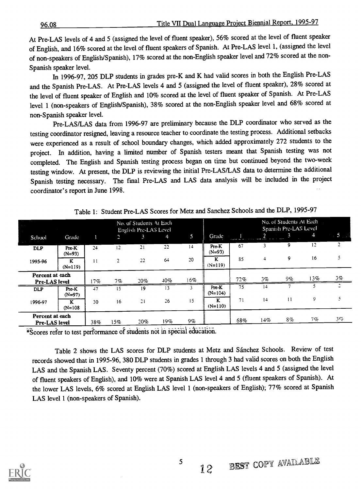At Pre-LAS levels of 4 and 5 (assigned the level of fluent speaker), 56% scored at the level of fluent speaker of English, and 16% scored at the level of fluent speakers of Spanish. At Pre-LAS level 1, (assigned the level of non-speakers of English/Spanish), 17% scored at the non-English speaker level and 72% scored at the non-Spanish speaker level.

In 1996-97, 205 DLP students in grades pre-K and K had valid scores in both the English Pre-LAS and the Spanish Pre-LAS. At Pre-LAS levels 4 and 5 (assigned the level of fluent speaker), 28% scored at the level of fluent speaker of English and 10% scored at the level of fluent speaker of Spanish. At Pre-LAS level 1 (non-speakers of English/Spanish), 38% scored at the non-English speaker level and 68% scored at non-Spanish speaker level.

Pre-LAS/LAS data from 1996-97 are preliminary because the DLP coordinator who served as the testing coordinator resigned, leaving a resource teacher to coordinate the testing process. Additional setbacks were experienced as a result of school boundary changes, which added approximately 272 students to the project. In addition, having a limited number of Spanish testers meant that Spanish testing was not completed. The English and Spanish testing process began on time but continued beyond the two-week testing window. At present, the DLP is reviewing the initial Pre-LAS/LAS data to determine the additional Spanish testing necessary. The final Pre-LAS and LAS data analysis will be included in the project coordinator's report in June 1998.

| <b>College</b>                   |                   |         |                | No. of Students At Each<br>English Pre-LAS Level |     |       |                    |                           | No. of Students At Each<br>Spanish Pre-LAS Level |              |     |                |
|----------------------------------|-------------------|---------|----------------|--------------------------------------------------|-----|-------|--------------------|---------------------------|--------------------------------------------------|--------------|-----|----------------|
| School                           | Grade             |         | P              | 3                                                | 4   | 5     | Grade              | <b>Support College Ad</b> | 2<br>$- - - -$                                   | 3            | 4   | 45.            |
| <b>DLP</b>                       | Pre-K<br>$(N=93)$ | 24      | 12             | 21                                               | 22  | 14    | Pre-K<br>$(N=93)$  | 67                        | 3                                                | 9            | 12  | $\overline{c}$ |
| 1995-96                          | ĸ<br>$(N=119)$    | $_{11}$ | $\overline{2}$ | 22                                               | 64  | 20    | K<br>$(N=119)$     | 85                        | $\overline{4}$                                   | 9            | 16  | 5              |
| Percent at each<br>Pre-LAS level |                   | 17%     | 7%             | 20%                                              | 40% | 16%   |                    | 72%                       | $3\%$                                            | 9%           | 13% | $3\%$          |
| <b>DLP</b>                       | Pre-K<br>$(N=97)$ | 47      | 15             | 19                                               | 13  | 3     | Pre-K<br>$(N=104)$ | 75                        | $^{14}$                                          |              |     | ÷              |
| 1996-97                          | K<br>$N = 108$    | 30      | 16             | 21                                               | 26  | 15    | K<br>$(N=110)$     | 71                        | 14                                               | $\mathbf{1}$ | 9   | 5.             |
| Percent at each<br>Pre-LAS level |                   | 38%     | 15%            | 20%                                              | 19% | $9\%$ |                    | 68%                       | 14%                                              | 8%           | 7 % | 356            |

Table 1: Student Pre-LAS Scores for Metz and Sanchez Schools and the DLP, 1995-97

\*Scores refer to test performance of students not in special

Table 2 shows the LAS scores for DLP students at Metz and Sánchez Schools. Review of test records showed that in 1995-96, 380 DLP students in grades 1 through 3 had valid scores on both the English LAS and the Spanish LAS. Seventy percent (70%) scored at English LAS levels 4 and 5 (assigned the level of fluent speakers of English), and 10% were at Spanish LAS level 4 and 5 (fluent speakers of Spanish). At the lower LAS levels, 6% scored at English LAS level 1 (non-speakers of English); 77% scored at Spanish LAS level 1 (non-speakers of Spanish).

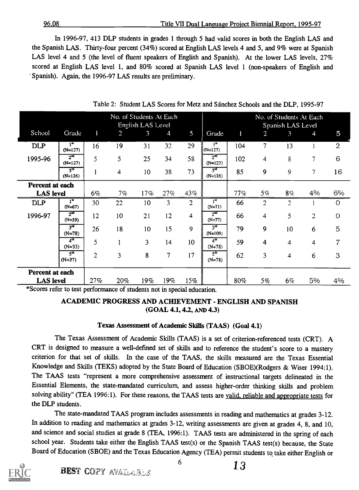#### 96.08 Title VII Dual Language Project Biennial Report, 1995-97

In 1996-97, 413 DLP students in grades 1 through 5 had valid scores in both the English LAS and the Spanish LAS. Thirty-four percent (34%) scored at English LAS levels 4 and 5, and 9% were at Spanish LAS level 4 and 5 (the level of fluent speakers of English and Spanish). At the lower LAS levels, 27% scored at English LAS level 1, and 80% scored at Spanish LAS level 1 (non-speakers of English and Spanish). Again, the 1996-97 LAS results are preliminary.

|                  |                                        |         | No. of Students At Each | English LAS Level |     |                |                                 |     |                | Spanish LAS Level | No. of Students At Each  |                |
|------------------|----------------------------------------|---------|-------------------------|-------------------|-----|----------------|---------------------------------|-----|----------------|-------------------|--------------------------|----------------|
| School           | Grade                                  |         | $\overline{2}$          | 3                 | 4   | 5              | Grade                           |     | $\overline{2}$ | $\mathcal{R}$     | 4                        | 5              |
| <b>DLP</b>       | $\mathbf{I}^{\mathbf{u}}$<br>$(N=127)$ | 16      | 19                      | 31                | 32  | 29             | 1 <sup>st</sup><br>$(N=127)$    | 104 | $\mathbf{7}$   | 13                |                          | $\overline{2}$ |
| 1995-96          | $2^{\overline{m}}$<br>$(N=127)$        |         | 5                       | 25                | 34  | 58             | 2 <sup>nd</sup><br>$(N=127)$    | 102 | 4              | 8                 | $\overline{\phantom{a}}$ | 6              |
|                  | ्रव<br>$(N=126)$                       |         | 4                       | 10 <sup>°</sup>   | 38  | 73             | 3 <sup>rd</sup><br>$(N=126)$    | 85  | 9              | 9                 | $\overline{7}$           | 16             |
| Percent at each  |                                        |         |                         |                   |     |                |                                 |     |                |                   |                          |                |
| <b>LAS</b> level |                                        | 6%      | $7\%$                   | 17%               | 27% | 43%            |                                 | 77% | $5\%$          | $8\%$             | 4%                       | 6%             |
| <b>DLP</b>       | $I_{\mathbf{z}}$<br>$(N=67)$           | 30      | 22                      | 10                |     | ာ              | 1 <sub>21</sub><br>$(N=71)$     | 66  | $\mathcal{D}$  | ∍                 |                          | 0              |
| 1996-97          | 2 <sup>nd</sup><br>$(N=59)$            | $12 \,$ | 10                      | 21                | 12  | 4              | 2 <sup>nd</sup><br>$(N=77)$     | 66  | 4              | 5                 | $\overline{2}$           | $\overline{O}$ |
|                  | $\overline{3^{rd}}$<br>$(N=78)$        | 26      | 18                      | 10                | 15  | $\overline{9}$ | $3^{\overline{r}}$<br>$(N=109)$ | 79  | 9              | 10 <sup>°</sup>   | 6                        | 5              |
|                  | 4 <sup>th</sup><br>$(N=33)$            |         |                         | 3                 | 14  | 10             | 4 <sup>th</sup><br>$(N=78)$     | 59  | 4              | 4                 | $\overline{4}$           | $\overline{7}$ |
|                  | 5 <sup>th</sup><br>$(N=37)$            | ◠       | $\mathbf{R}$            | 8                 | -   | 17             | $5^{\circ}$<br>$(N=78)$         | 62  | $\overline{3}$ | 4                 | 6                        | 3              |
| Percent at each  | <b>LAS</b> level                       |         |                         |                   |     |                |                                 |     |                |                   |                          |                |
|                  |                                        | 27%     | 20%                     | 19%               | 19% | 15%            |                                 | 80% | $5\%$          | $6\%$             | 5%                       | 4%             |

Table 2: Student LAS Scores for Metz and Sanchez Schools and the DLP, 1995-97

\*Scores refer to test performance of students not in special education.

## ACADEMIC PROGRESS AND ACHIEVEMENT - ENGLISH AND SPANISH (GOAL 4.1, 4.2, AND 4.3)

#### Texas Assessment of Academic Skills (TAAS) (Goal 4.1)

The Texas Assessment of Academic Skills (TAAS) is a set of criterion-referenced tests (CRT). A CRT is designed to measure a well- defined set of skills and to reference the student's score to a mastery criterion for that set of skills. In the case of the TAAS, the skills measured are the Texas Essential Knowledge and Skills (TEKS) adopted by the State Board of Education (SBOE)(Rodgers & Wiser 1994:1). The TAAS tests "represent a more comprehensive assessment of instructional targets delineated in the Essential Elements, the state-mandated curriculum, and assess higher-order thinking skills and problem solving ability" (TEA 1996:1). For these reasons, the TAAS tests are valid, reliable and appropriate tests for the DLP students.

The state-mandated TAAS program includes assessments in reading and mathematics at grades 3-12. In addition to reading and mathematics at grades 3-12, writing assessments are given at grades 4, 8, and 10, and science and social studies at grade 8 (TEA, 1996:1). TAAS tests are administered in the spring of each school year. Students take either the English TAAS test(s) or the Spanish TAAS test(s) because, the State Board of Education (SBOE) and the Texas Education Agency (TEA) permit students to take either English or

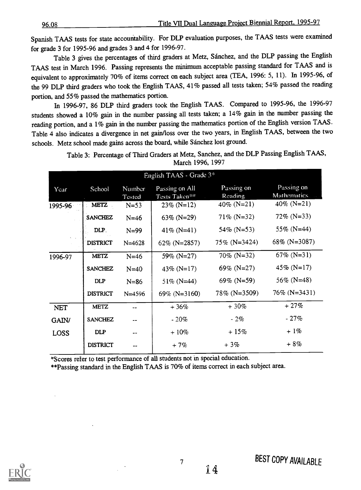96.08 Title VII Dual Language Project Biennial Report, 1995-97

Spanish TAAS tests for state accountability. For DLP evaluation purposes, the TAAS tests were examined for grade 3 for 1995-96 and grades 3 and 4 for 1996-97.

Table 3 gives the percentages of third graders at Metz, Sanchez, and the DLP passing the English TAAS test in March 1996. Passing represents the minimum acceptable passing standard for TAAS and is equivalent to approximately 70% of items correct on each subject area (TEA, 1996: 5, 11). In 1995-96, of the 99 DLP third graders who took the English TAAS, 41% passed all tests taken; 54% passed the reading portion, and 55% passed the mathematics portion.

In 1996-97, 86 DLP third graders took the English TAAS. Compared to 1995-96, the 1996-97 students showed a 10% gain in the number passing all tests taken; a 14% gain in the number passing the reading portion, and a 1% gain in the number passing the mathematics portion of the English version TAAS. Table 4 also indicates a divergence in net gain/loss over the two years, in English TAAS, between the two schools. Metz school made gains across the board, while Sánchez lost ground.

|             |                 |                  | English TAAS - Grade $3*$       |                       |                            |
|-------------|-----------------|------------------|---------------------------------|-----------------------|----------------------------|
| Year        | School          | Number<br>Tested | Passing on All<br>Tests Taken** | Passing on<br>Reading | Passing on<br>Mathematics. |
| 1995-96     | METZ            | $N = 53$         | $23\%$ (N=12)                   | 40% (N=21)            | 40% (N=21)                 |
|             | <b>SANCHEZ</b>  | $N = 46$         | 63% (N=29)                      | $71\%$ (N=32)         | $72\%$ (N=33)              |
|             | DLP.            | $N = 99$         | 41\% (N=41)                     | 54\% (N=53)           | 55\% (N=44)                |
|             | <b>DISTRICT</b> | $N = 4628$       | 62% (N=2857)                    | $75\%$ (N=3424)       | 68% (N=3087)               |
| 1996-97     | <b>METZ</b>     | $N = 46$         | 59% (N=27)                      | $70\%$ (N=32)         | 67% (N=31)                 |
|             | <b>SANCHEZ</b>  | $N=40$           | 43\% (N=17)                     | 69% (N=27)            | 45\% (N=17)                |
|             | <b>DLP</b>      | $N = 86$         | $51\%$ (N=44)                   | 69% (N=59)            | 56% (N=48)                 |
|             | <b>DISTRICT</b> | $N = 4596$       | 69% (N=3160)                    | 78% (N=3509)          | $76\%$ (N=3431)            |
| <b>NET</b>  | <b>METZ</b>     |                  | $+36%$                          | $+30%$                | $+27%$                     |
| GAIN/       | <b>SANCHEZ</b>  |                  | $-20%$                          | $-2%$                 | $-27%$                     |
| <b>LOSS</b> | <b>DLP</b>      |                  | $+10\%$                         | $+15%$                | $+1\%$                     |
|             | <b>DISTRICT</b> |                  | $+7%$                           | $+3%$                 | $+8%$                      |

Table 3: Percentage of Third Graders at Metz, Sanchez, and the DLP Passing English TAAS, March 1996, 1997

\*Scores refer to test performance of all students not in special education.

\*\*Passing standard in the English TAAS is 70% of items correct in each subject area.



BEST COPY AVAILABLE

14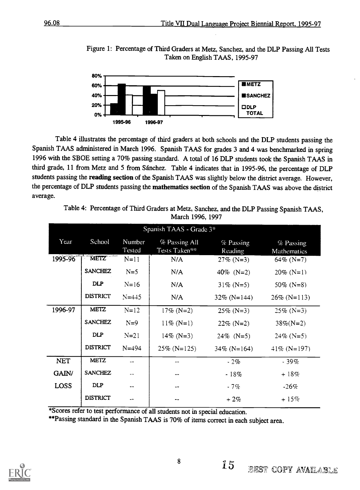Figure 1: Percentage of Third Graders at Metz, Sanchez, and the DLP Passing All Tests Taken on English TAAS, 1995-97



Table 4 illustrates the percentage of third graders at both schools and the DLP students passing the Spanish TAAS administered in March 1996. Spanish TAAS for grades 3 and 4 was benchmarked in spring 1996 with the SBOE setting a 70% passing standard. A total of 16 DLP students took the Spanish TAAS in third grade, 11 from Metz and 5 from Sanchez. Table 4 indicates that in 1995-96, the percentage of DLP students passing the reading section of the Spanish TAAS was slightly below the district average. However, the percentage of DLP students passing the mathematics section of the Spanish TAAS was above the district average.

> Table 4: Percentage of Third Graders at Metz, Sanchez, and the DLP Passing Spanish TAAS, March 1996, 1997

|             |                   |                  | Spanish TAAS - Grade 3 <sup>*</sup> |                      |                          |
|-------------|-------------------|------------------|-------------------------------------|----------------------|--------------------------|
| Year        | School            | Number<br>Tested | % Passing All<br>Tests Taken**      | % Passing<br>Reading | % Passing<br>Mathematics |
| 1995-96     | METZ <sup>®</sup> | $N=11$           | N/A                                 | $27\%$ (N=3)         | 64% (N=7)                |
|             | <b>SANCHEZ</b>    | $N=5$            | N/A                                 | 40\% (N=2)           | $20\%$ (N=1)             |
|             | <b>DLP</b>        | $N = 16$         | N/A                                 | $31\%$ (N=5)         | 50\% (N=8)               |
|             | <b>DISTRICT</b>   | $N = 445$        | N/A                                 | $32\%$ (N=144)       | $26\%$ (N=113)           |
| 1996-97     | <b>METZ</b>       | $N = 12$         | $17\%$ (N=2)                        | $25\%$ (N=3)         | $25\%$ (N=3)             |
|             | <b>SANCHEZ</b>    | $N=9$            | $11\%$ (N=1)                        | $22\%$ (N=2)         | $38\%$ (N=2)             |
|             | <b>DLP</b>        | $N = 21$         | $14\%$ (N=3)                        | $24\%$ (N=5)         | $24\%$ (N=5)             |
|             | <b>DISTRICT</b>   | $N = 494$        | $25\%$ (N=125)                      | $34\%$ (N=164)       | $41\%$ (N=197)           |
| <b>NET</b>  | <b>METZ</b>       | $\overline{a}$   |                                     | $-2%$                | $-39%$                   |
| GAIN/       | <b>SANCHEZ</b>    |                  |                                     | $-18%$               | $+18%$                   |
| <b>LOSS</b> | DLP               |                  |                                     | $-7%$                | $-26%$                   |
|             | <b>DISTRICT</b>   |                  |                                     | $+2\%$               | $+15%$                   |

\*Scores refer to test performance of all students not in special education.

\*\*Passing standard in the Spanish TAAS is 70% of items correct in each subject area.

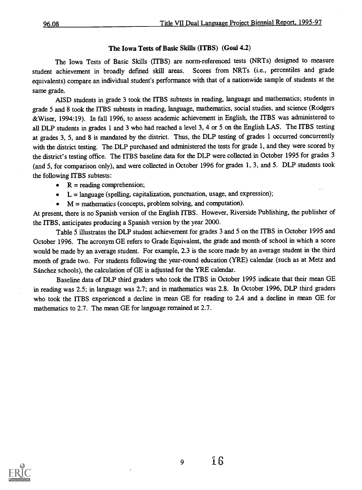## The Iowa Tests of Basic Skills (ITBS) (Goal 4.2)

The Iowa Tests of Basic Skills (ITBS) are norm-referenced tests (NRTs) designed to measure student achievement in broadly defined skill areas. Scores from NRTs (i.e., percentiles and grade equivalents) compare an individual student's performance with that of a nationwide sample of students at the same grade.

AISD students in grade 3 took the ITBS subtests in reading, language and mathematics; students in grade 5 and 8 took the ITBS subtests in reading, language, mathematics, social studies, and science (Rodgers &Wiser, 1994:19). In fall 1996, to assess academic achievement in English, the ITBS was administered to all DLP students in grades 1 and 3 who had reached a level 3, 4 or 5 on the English LAS. The ITBS testing at grades 3, 5, and 8 is mandated by the district. Thus, the DLP testing of grades 1 occurred concurrently with the district testing. The DLP purchased and administered the tests for grade 1, and they were scored by the district's testing office. The ITBS baseline data for the DLP were collected in October 1995 for grades 3 (and 5, for comparison only), and were collected in October 1996 for grades 1, 3, and 5. DLP students took the following ITBS subtests:

- $\bullet$  R = reading comprehension;
- $-L =$  language (spelling, capitalization, punctuation, usage, and expression);
- $M =$  mathematics (concepts, problem solving, and computation).

At present, there is no Spanish version of the English ITBS. However, Riverside Publishing, the publisher of the ITBS, anticipates producing a Spanish version by the year 2000.

Table 5 illustrates the DLP student achievement for grades 3 and 5 on the ITBS in October 1995 and October 1996. The acronym GE refers to Grade Equivalent, the grade and month of school in which a score would be made by an average student. For example, 2.3 is the score made by an average student in the third month of grade two. For students following the year-round education (YRE) calendar (such as at Metz and Sanchez schools), the calculation of GE is adjusted for the YRE calendar.

Baseline data of DLP third graders who took the ITBS in October 1995 indicate that their mean GE in reading was 2.5; in language was 2.7; and in mathematics was 2.8. In October 1996, DLP third graders who took the ITBS experienced a decline in mean GE for reading to 2.4 and a decline in mean GE for mathematics to 2.7. The mean GE for language remained at 2.7.



9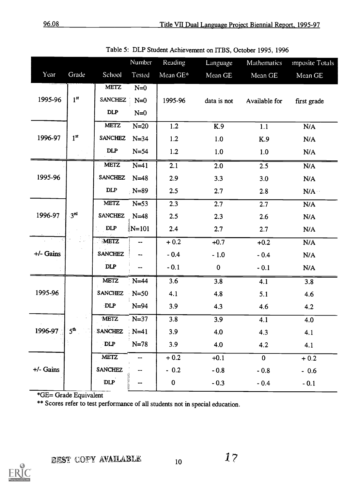|             |                 |                | Number    | Reading      | Language    | Mathematics    | <i><b>Imposite Totals</b></i> |
|-------------|-----------------|----------------|-----------|--------------|-------------|----------------|-------------------------------|
| Year        | Grade           | School         | Tested    | Mean GE*     | Mean GE     | Mean GE        | Mean GE                       |
|             |                 | <b>METZ</b>    | $N=0$     |              |             |                |                               |
| 1995-96     | 1 <sup>st</sup> | <b>SANCHEZ</b> | $N=0$     | 1995-96      | data is not | Available for  | first grade                   |
|             |                 | DLP            | $N=0$     |              |             |                |                               |
|             |                 | <b>METZ</b>    | $N=20$    | 1.2          | K.9         | 1.1            | N/A                           |
| 1996-97     | 1 <sup>st</sup> | <b>SANCHEZ</b> | $N=34$    | 1.2          | 1.0         | K.9            | N/A                           |
|             |                 | DLP            | $N=54$    | 1.2          | 1.0         | 1.0            | N/A                           |
|             |                 | METZ           | $N=41$    | 2.1          | 2.0         | 2.5            | N/A                           |
| 1995-96     |                 | <b>SANCHEZ</b> | $N=48$    | 2.9          | 3.3         | 3.0            | N/A                           |
|             |                 | <b>DLP</b>     | $N=89$    | 2.5          | 2.7         | 2.8            | N/A                           |
|             |                 | <b>METZ</b>    | $N=53$    | 2.3          | 2.7         | 2.7            | N/A                           |
| 1996-97     | 3 <sup>rd</sup> | <b>SANCHEZ</b> | $N=48$    | 2.5          | 2.3         | 2.6            | N/A                           |
|             |                 | <b>DLP</b>     | $N = 101$ | 2.4          | 2.7         | 2.7            | N/A                           |
|             |                 | METZ           |           | $+0.2$       | $+0.7$      | $+0.2$         | N/A                           |
| $+/-$ Gains |                 | <b>SANCHEZ</b> |           | $-0.4$       | $-1.0$      | $-0.4$         | N/A                           |
|             |                 | <b>DLP</b>     |           | $-0.1$       | $\pmb{0}$   | $-0.1$         | N/A                           |
|             |                 | <b>METZ</b>    | $N=44$    | 3.6          | 3.8         | 4.1            | 3.8                           |
| 1995-96     |                 | <b>SANCHEZ</b> | $N=50$    | 4.1          | 4.8         | 5.1            | 4.6                           |
|             |                 | <b>DLP</b>     | $N=94$    | 3.9          | 4.3         | 4.6            | 4.2                           |
|             |                 | <b>METZ</b>    | $N=37$    | 3.8          | 3.9         | 4.1            | 4.0                           |
| 1996-97     | 5 <sup>th</sup> | <b>SANCHEZ</b> | $N=41$    | 3.9          | 4.0         | 4.3            | 4.1                           |
|             |                 | DLP            | $N=78$    | 3.9          | 4.0         | 4.2            | 4.1                           |
|             |                 | METZ           |           | $+0.2$       | $+0.1$      | $\overline{0}$ | $+0.2$                        |
| $+/-$ Gains |                 | <b>SANCHEZ</b> |           | $-0.2$       | $-0.8$      | $-0.8$         | $-0.6$                        |
|             |                 | <b>DLP</b>     |           | $\mathbf{0}$ | $-0.3$      | $-0.4$         | $-0.1$                        |
|             |                 |                |           |              |             |                |                               |

Table 5: DLP Student Achievement on ITBS, October 1995, 1996

\*GE= Grade Equivalent

\*\* Scores refer to test performance of all students not in special education.

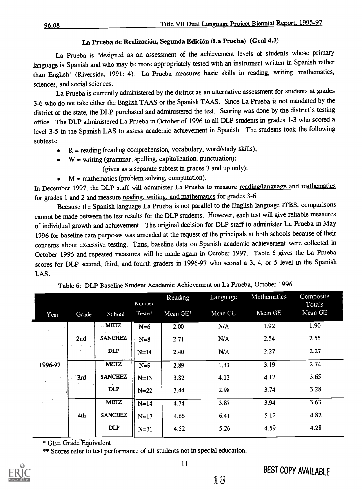## La Prueba de Realización, Segunda Edición (La Prueba) (Goal 4.3)

La Prueba is "designed as an assessment of the achievement levels of students whose primary language is Spanish and who may be more appropriately tested with an instrument written in Spanish rather than English" (Riverside, 1991: 4). La Prueba measures basic skills in reading, writing, mathematics, sciences, and social sciences.

La Prueba is currently administered by the district as an alternative assessment for students at grades 3-6 who do not take either the English TAAS or the Spanish TAAS. Since La Prueba is not mandated by the district or the state, the DLP purchased and administered the test. Scoring was done by the district's testing office. The DLP administered La Prueba in October of 1996 to all DLP students in grades 1-3 who scored a level 3-5 in the Spanish LAS to assess academic achievement in Spanish. The students took the following subtests:

- $R =$  reading (reading comprehension, vocabulary, word/study skills);
- $W =$  writing (grammar, spelling, capitalization, punctuation);

(given as a separate subtest in grades 3 and up only);

 $M =$  mathematics (problem solving, computation).

In December 1997, the DLP staff will administer La Prueba to measure reading/language and mathematics for grades 1 and 2 and measure reading, writing, and mathematics for grades 3-6.

Because the Spanish language La Prueba is not parallel to the English language ITBS, comparisons cannot be made between the test results for the DLP students. However, each test will give reliable measures of individual growth and achievement. The original decision for DLP staff to administer La Prueba in May 1996 for baseline data purposes was amended at the request of the principals at both schools because of their concerns about excessive testing. Thus, baseline data on Spanish academic achievement were collected in October 1996 and repeated measures will be made again in October 1997. Table 6 gives the La Prueba scores for DLP second, third, and fourth graders in 1996-97 who scored a 3, 4, or 5 level in the Spanish LAS.

|                                               |       |                | Number | Reading  | Language | Mathematics | Composite<br>Totals |
|-----------------------------------------------|-------|----------------|--------|----------|----------|-------------|---------------------|
| Year                                          | Grade | School         | Tested | Mean GE* | Mean GE  | Mean GE     | Mean GE             |
| $\lambda$ , $\lambda$ , $\lambda$ , $\lambda$ |       | <b>METZ</b>    | $N=6$  | 2.00     | N/A      | 1.92        | 1.90                |
|                                               | 2nd   | <b>SANCHEZ</b> | $N=8$  | 2.71     | N/A      | 2.54        | 2.55                |
| $\lambda$ . As<br>÷                           |       | DLP            | $N=14$ | 2.40     | N/A      | 2.27        | 2.27                |
| 1996-97                                       |       | <b>METZ</b>    | $N=9$  | 2.89     | 1.33     | 3.19        | 2.74                |
|                                               | 3rd   | <b>SANCHEZ</b> | $N=13$ | 3.82     | 4.12     | 4.12        | 3.65                |
|                                               | 104   | DLP            | $N=22$ | 3.44     | 2.98     | 3.74        | 3.28                |
|                                               |       | <b>METZ</b>    | $N=14$ | 4.34     | 3.87     | 3.94        | 3.63                |
|                                               | 4th   | <b>SANCHEZ</b> | $N=17$ | 4.66     | 6.41     | 5.12        | 4.82                |
|                                               |       | DLP            | $N=31$ | 4.52     | 5.26     | 4.59        | 4.28                |

Table 6: DLP Baseline Student Academic Achievement on La Prueba, October 1996

\* GE= Grade Equivalent

\*\* Scores refer to test performance of all students not in special education.

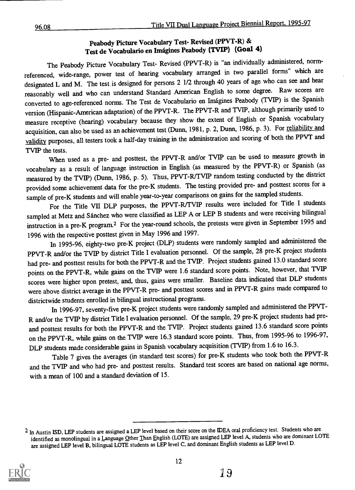## Peabody Picture Vocabulary Test- Revised (PPVT-R) & Test de Vocabulario en Imagines Peabody (TVIP) (Goal 4)

The Peabody Picture Vocabulary Test- Revised (PPVT-R) is "an individually administered, normreferenced, wide-range, power test of hearing vocabulary arranged in two parallel forms" which are designated L and M. The test is designed for persons 2 1/2 through 40 years of age who can see and hear reasonably well and who can understand Standard American English to some degree. Raw scores are converted to age-referenced norms. The Test de Vocabulario en Imagines Peabody (TVIP) is the Spanish version (Hispanic-American adaptation) of the PPVT-R. The PPVT-R and TVIP, although primarily used to measure receptive (hearing) vocabulary because they show the extent of English or Spanish vocabulary acquisition, can also be used as an achievement test (Dunn, 1981, p. 2, Dunn, 1986, p. 3). For reliability and validity purposes, all testers took a half-day training in the administration and scoring of both the PPVT and TVIP the tests.

When used as a pre- and posttest, the PPVT-R and/or TVIP can be used to measure growth in vocabulary as a result of language instruction in English (as measured by the PPVT-R) or Spanish (as measured by the TVIP) (Dunn, 1986, p. 5). Thus, PPVT-R/TVIP random testing conducted by the district provided some achievement data for the pre-K students. The testing provided pre- and posttest scores for a sample of pre-K students and will enable year-to-year comparisons on gains for the sampled students.

For the Title VII DLP purposes, the PPVT-R/TVIP results were included for Title I students sampled at Metz and Sanchez who were classified as LEP A or LEP B students and were receiving bilingual instruction in a pre-K program.2 For the year-round schools, the pretests were given in September 1995 and 1996 with the respective posttest given in May 1996 and 1997.

In 1995-96, eighty-two pre-K project (DLP) students were randomly sampled and administered the PPVT-R and/or the TVIP by district Title I evaluation personnel. Of the sample, 28 pre-K project students had pre- and posttest results for both the PPVT-R and the TVIP. Project students gained 13.0 standard score points on the PPVT-R, while gains on the TVIP were 1.6 standard score points. Note, however, that TVIP scores were higher upon pretest, and, thus, gains were smaller. Baseline data indicated that DLP students were above district average in the PPVT-R pre- and posttest scores and in PPVT-R gains made compared to districtwide students enrolled in bilingual instructional programs.

In 1996-97, seventy-five pre-K project students were randomly sampled and administered the PPVT-R and/or the TVIP by district Title I evaluation personnel. Of the sample, 29 pre-K project students had preand posttest results for both the PPVT-R and the TVIP. Project students gained 13.6 standard score points on the PPVT-R, while gains on the TVIP were 16.3 standard score points. Thus, from 1995-96 to 1996-97, DLP students made considerable gains in Spanish vocabulary acquisition (TVIP) from 1.6 to 16.3.

Table 7 gives the averages (in standard test scores) for pre-K students who took both the PPVT-R and the TVIP and who had pre- and posttest results. Standard test scores are based on national age norms, with a mean of 100 and a standard deviation of 15.

<sup>&</sup>lt;sup>2</sup> In Austin ISD, LEP students are assigned a LEP level based on their score on the IDEA oral proficiency test. Students who are identified as monolingual in a Language Other Than English (LOTE) are assigned LEP level A, students who are dominant LOTE are assigned LEP level B, bilingual LOTE students as LEP level C, and dominant English students as LEP level D.

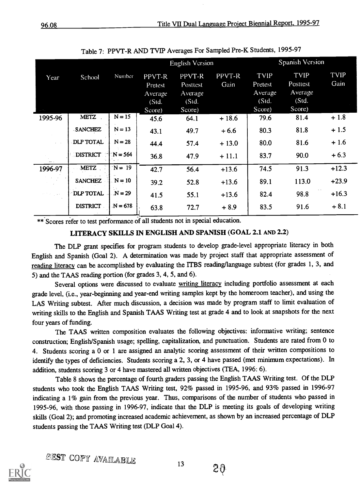|               |                 |           | <b>English Version</b>                          |                                                  |                | Spanish Version                               |                                                |              |
|---------------|-----------------|-----------|-------------------------------------------------|--------------------------------------------------|----------------|-----------------------------------------------|------------------------------------------------|--------------|
| Year          | School          | Number    | PPVT-R<br>Pretest<br>Average<br>(Std.<br>Score) | PPVT-R<br>Posttest<br>Average<br>(Std.<br>Score) | PPVT-R<br>Gain | TVIP<br>Pretest<br>Average<br>(Std.<br>Score) | TVIP<br>Posttest<br>Average<br>(Std.<br>Score) | TVIP<br>Gain |
| 1995-96       | <b>METZ</b>     | $N = 15$  | 45.6                                            | 64.1                                             | $+18.6$        | 79.6                                          | 81.4                                           | $+1.8$       |
|               | <b>SANCHEZ</b>  | $N = 13$  | 43.1                                            | 49.7                                             | $+6.6$         | 80.3                                          | 81.8                                           | $+1.5$       |
|               | DLP TOTAL       | $N = 28$  | 44.4                                            | 57.4                                             | $+13.0$        | 80.0                                          | 81.6                                           | $+1.6$       |
|               | <b>DISTRICT</b> | $N = 564$ | 36.8                                            | 47.9                                             | $+11.1$        | 83.7                                          | 90.0                                           | $+6.3$       |
| 1996-97       | <b>METZ</b>     | $N = 19$  | 42.7                                            | 56.4                                             | $+13.6$        | 74.5                                          | 91.3                                           | $+12.3$      |
|               | <b>SANCHEZ</b>  | $N = 10$  | 39.2                                            | 52.8                                             | $+13.6$        | 89.1                                          | 113.0                                          | $+23.9$      |
| $\sim$ $\sim$ | DLP TOTAL       | $N = 29$  | 41.5                                            | 55.1                                             | $+13.6$        | 82.4                                          | 98.8                                           | $+16.3$      |
|               | <b>DISTRICT</b> | $N = 678$ | 63.8                                            | 72.7                                             | $+8.9$         | 83.5                                          | 91.6                                           | $+8.1$       |
|               |                 |           |                                                 |                                                  |                |                                               |                                                |              |

Table 7: PPVT-R AND TVIP Averages For Sampled Pre-K Students, 1995-97

\*\* Scores refer to test performance of all students not in special education.

## LITERACY SKILLS IN ENGLISH AND SPANISH (GOAL 2.1 AND 2.2)

The DLP grant specifies for program students to develop grade-level appropriate literacy in both English and Spanish (Goal 2). A determination was made by project staff that appropriate assessment of reading literacy can be accomplished by evaluating the ITBS reading/language subtest (for grades 1, 3, and 5) and the TAAS reading portion (for grades 3, 4, 5, and 6).

Several options were discussed to evaluate writing literacy including portfolio assessment at each grade level, (i.e., year-beginning and year-end writing samples kept by the homeroom teacher), and using the LAS Writing subtest. After much discussion, a decision was made by program staff to limit evaluation of writing skills to the English and Spanish TAAS Writing test at grade 4 and to look at snapshots for the next four years of funding.

The TAAS written composition evaluates the following objectives: informative writing; sentence construction; English/Spanish usage; spelling, capitalization, and punctuation. Students are rated from 0 to 4. Students scoring a 0 or 1 are assigned an analytic scoring assessment of their written compositions to identify the types of deficiencies. Students scoring a 2, 3, or 4 have passed (met minimum expectations). In addition, students scoring 3 or 4 have mastered all written objectives (TEA, 1996: 6).

Table 8 shows the percentage of fourth graders passing the English TAAS Writing test. Of the DLP students who took the English TAAS Writing test, 92% passed in 1995-96, and 93% passed in 1996-97 indicating a 1% gain from the previous year. Thus, comparisons of the number of students who passed in 1995-96, with those passing in 1996-97, indicate that the DLP is meeting its goals of developing writing skills (Goal 2); and promoting increased academic achievement, as shown by an increased percentage of DLP students passing the TAAS Writing test (DLP Goal 4).

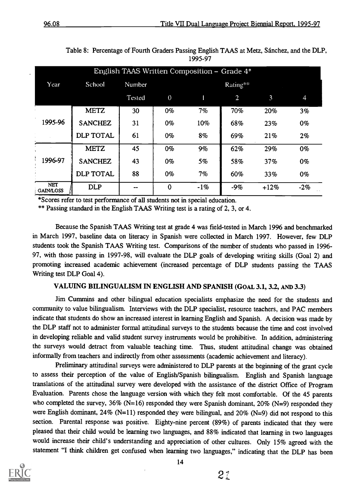|                                |                  |        |          | English TAAS Written Composition – Grade 4* |                |        |       |  |  |
|--------------------------------|------------------|--------|----------|---------------------------------------------|----------------|--------|-------|--|--|
| Year                           | School           | Number |          | Rating**                                    |                |        |       |  |  |
|                                |                  | Tested | $\theta$ |                                             | $\overline{2}$ | 3      | 4     |  |  |
|                                | <b>METZ</b>      | 30     | $0\%$    | 7%                                          | 70%            | 20%    | 3%    |  |  |
| 1995-96                        | <b>SANCHEZ</b>   | 31     | $0\%$    | 10%                                         | 68%            | 23%    | $0\%$ |  |  |
|                                | <b>DLP TOTAL</b> | 61     | $0\%$    | 8%                                          | 69%            | 21%    | 2%    |  |  |
|                                | <b>METZ</b>      | 45     | 0%       | 9%                                          | 62%            | 29%    | $0\%$ |  |  |
| 1996-97                        | <b>SANCHEZ</b>   | 43     | $0\%$    | 5%                                          | 58%            | 37%    | $0\%$ |  |  |
|                                | <b>DLP TOTAL</b> | 88     | $0\%$    | 7%                                          | 60%            | 33%    | $0\%$ |  |  |
| <b>NET</b><br><b>GAIN/LOSS</b> | <b>DLP</b>       | --     | $\bf{0}$ | $-1%$                                       | $-9%$          | $+12%$ | $-2%$ |  |  |

Table 8: Percentage of Fourth Graders Passing English TAAS at Metz, Sanchez, and the DLP, 1995-97

\*Scores refer to test performance of all students not in special education.

\*\* Passing standard in the English TAAS Writing test is a rating of 2, 3, or 4.

Because the Spanish TAAS Writing test at grade 4 was field-tested in March 1996 and benchmarked in March 1997, baseline data on literacy in Spanish were collected in March 1997. However, few DLP students took the Spanish TAAS Writing test. Comparisons of the number of students who passed in 1996- 97, with those passing in 1997-98, will evaluate the DLP goals of developing writing skills (Goal 2) and promoting increased academic achievement (increased percentage of DLP students passing the TAAS Writing test DLP Goal 4).

## VALUING BILINGUALISM IN ENGLISH AND SPANISH (GoAL 3.1, 3.2, AND 3.3)

Jim Cummins and other bilingual education specialists emphasize the need for the students and community to value bilingualism. Interviews with the DLP specialist, resource teachers, and PAC members indicate that students do show an increased interest in learning English and Spanish. A decision was made by the DLP staff not to administer formal attitudinal surveys to the students because the time and cost involved in developing reliable and valid student survey instruments would be prohibitive. In addition, administering the surveys would detract from valuable teaching time. Thus, student attitudinal change was obtained informally from teachers and indirectly from other assessments (academic achievement and literacy).

Preliminary attitudinal surveys were administered to DLP parents at the beginning of the grant cycle to assess their perception of the value of English/Spanish bilingualism. English and Spanish language translations of the attitudinal survey were developed with the assistance of the district Office of Program Evaluation. Parents chose the language version with which they felt most comfortable. Of the 45 parents who completed the survey,  $36\%$  (N=16) responded they were Spanish dominant,  $20\%$  (N=9) responded they were English dominant, 24% (N=11) responded they were bilingual, and 20% (N=9) did not respond to this section. Parental response was positive. Eighty-nine percent (89%) of parents indicated that they were pleased that their child would be learning two languages, and 88% indicated that learning in two languages would increase their child's understanding and appreciation of other cultures. Only 15% agreed with the statement "I think children get confused when learning two languages," indicating that the DLP has been

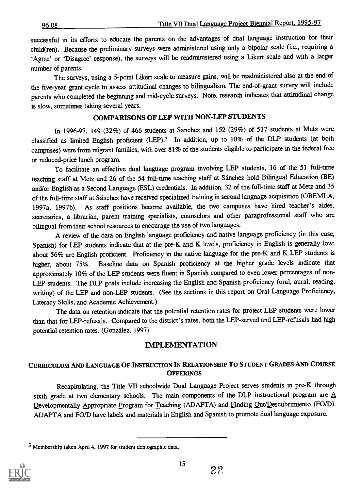successful in its efforts to educate the parents on the advantages of dual language instruction for their child(ren). Because the preliminary surveys were administered using only a bipolar scale (i.e., requiring a `Agee' or 'Disagree' response), the surveys will be readministered using a Likert scale and with a larger number of parents.

The surveys, using a 5-point Likert scale to measure gains, will be readministered also at the end of the five-year grant cycle to assess attitudinal changes to bilingualism. The end-of-grant survey will include parents who completed the beginning and mid-cycle surveys. Note, research indicates that attitudinal change is slow, sometimes taking several years.

## COMPARISONS OF LEP WITH NON-LEP STUDENTS

In 1996-97, 149 (32%) of 466 students at Sanchez and 152 (29%) of 517 students at Metz were classified as limited English proficient (LEP).3 In addition, up to 10% of the DLP students (at both campuses) were from migrant families, with over 81% of the students eligible to participate in the federal free or reduced-price lunch program.

To facilitate an effective dual language program involving LEP students, 16 of the 51 full-time teaching staff at Metz and 26 of the 54 full-time teaching staff at Sanchez hold Bilingual Education (BE) and/or English as a Second Language (ESL) credentials. In addition, 32 of the full-time staff at Metz and 35 of the full-time staff at Sanchez have received specialized training in second language acquisition (OBEMLA, 1997a, 1997b). As staff positions become available, the two campuses have hired teacher's aides, secretaries, a librarian, parent training specialists, counselors and other paraprofessional staff who are bilingual from their school resources to encourage the use of two languages.

A review of the data on English language proficiency and native language proficiency (in this case, Spanish) for LEP students indicate that at the pre-K and K levels, proficiency in English is generally low; about 56% are English proficient. Proficiency in the native language for the pre-K and K LEP students is higher, about 75%. Baseline data on Spanish proficiency at the higher grade levels indicate that approximately 10% of the LEP students were fluent in Spanish compared to even lower percentages of non-LEP students. The DLP goals include increasing the English and Spanish proficiency (oral, aural, reading, writing) of the LEP and non-LEP students. (See the sections in this report on Oral Language Proficiency, Literacy Skills, and Academic Achievement.)

The data on retention indicate that the potential retention rates for project LEP students were lower than that for LEP-refusals. Compared to the district's rates, both the LEP-served and LEP-refusals had high potential retention rates. (Gonzalez, 1997).

## IMPLEMENTATION

## CURRICULUM AND LANGUAGE OF INSTRUCTION IN RELATIONSHIP To STUDENT GRADES AND COURSE **OFFERINGS**

Recapitulating, the Title VII schoolwide Dual Language Project serves students in pre-K through sixth grade at two elementary schools. The main components of the DLP instructional program are  $\underline{A}$ Developmentally Appropriate Program for Teaching (ADAPTA) and Finding Out/Descubrimiento (FO/D). ADAPTA and FO/D have labels and materials in English and Spanish to promote dual language exposure.

<sup>3</sup> Membership taken April 4, 1997 for student demographic data.

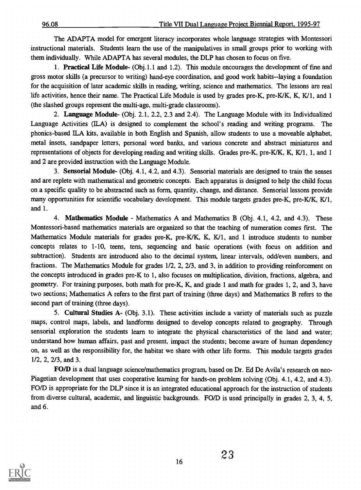The ADAPTA model for emergent literacy incorporates whole language strategies with Montessori instructional materials. Students learn the use of the manipulatives in small groups prior to working with them individually. While ADAPTA has several modules, the DLP has chosen to focus on five.

1. Practical Life Module- (Obj.1.1 and 1.2). This module encourages the development of fine and gross motor skills (a precursor to writing) hand-eye coordination, and good work habits--laying a foundation for the acquisition of later academic skills in reading, writing, science and mathematics. The lessons are real life activities, hence their name. The Practical Life Module is used by grades pre-K, pre-K/K, K, K/1, and 1 (the slashed groups represent the multi-age, multi-grade classrooms).

2. Language Module- (Obj. 2.1, 2.2, 2.3 and 2.4). The Language Module with its Individualized Language Activities (ILA) is designed to complement the school's reading and writing programs. The phonics-based ILA kits, available in both English and Spanish, allow students to use a moveable alphabet, metal insets, sandpaper letters, personal word banks, and various concrete and abstract miniatures and representations of objects for developing reading and writing skills. Grades pre-K, pre-K/K, K, K/1, 1, and 1 and 2 are provided instruction with the Language Module.

3. Sensorial Module- (Obj. 4.1, 4.2, and 4.3). Sensorial materials are designed to train the senses and are replete with mathematical and geometric concepts. Each apparatus is designed to help the child focus on a specific quality to be abstracted such as form, quantity, change, and distance. Sensorial lessons provide many opportunities for scientific vocabulary development. This module targets grades pre-K, pre-K/K, K/1, and 1.

4. Mathematics Module - Mathematics A and Mathematics B (Obj. 4.1, 4.2, and 4.3). These Montessori-based mathematics materials are organized so that the teaching of numeration comes first. The Mathematics Module materials for grades pre-K, pre-K/K, K, K/1, and 1 introduce students to number concepts relates to 1-10, teens, tens, sequencing and basic operations (with focus on addition and subtraction). Students are introduced also to the decimal system, linear intervals, odd/even numbers, and fractions. The Mathematics Module for grades 1/2, 2, 2/3, and 3, in addition to providing reinforcement on the concepts introduced in grades pre-K to 1, also focuses on multiplication, division, fractions, algebra, and geometry. For training purposes, both math for pre-K, K, and grade 1 and math for grades 1, 2, and 3, have two sections; Mathematics A refers to the first part of training (three days) and Mathematics B refers to the second part of training (three days).

5. Cultural Studies A- (Obj. 3.1). These activities include a variety of materials such as puzzle maps, control maps, labels, and landforms designed to develop concepts related to geography. Through sensorial exploration the students learn to integrate the physical characteristics of the land and water; understand how human affairs, past and present, impact the students; become aware of human dependency on, as well as the responsibility for, the habitat we share with other life forms. This module targets grades 1/2, 2, 2/3, and 3.

FO/D is a dual language science/mathematics program, based on Dr. Ed De Avila's research on neo-Piagetian development that uses cooperative learning for hands-on problem solving (Obj. 4.1, 4.2, and 4.3). FO/D is appropriate for the DLP since it is an integrated educational approach for the instruction of students from diverse cultural, academic, and linguistic backgrounds. FO/D is used principally in grades 2, 3, 4, 5, and 6.

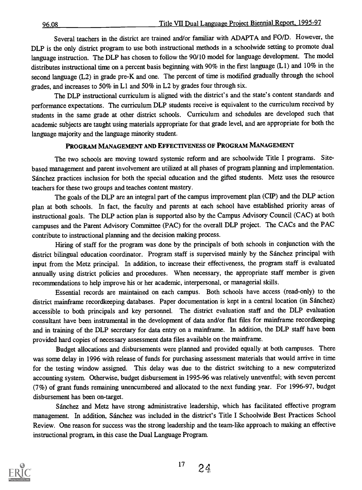Several teachers in the district are trained and/or familiar with ADAPTA and FO/D. However, the DLP is the only district program to use both instructional methods in a schoolwide setting to promote dual language instruction. The DLP has chosen to follow the 90/10 model for language development. The model distributes instructional time on a percent basis beginning with 90% in the first language (L1) and 10% in the second language (L2) in grade pre-K and one. The percent of time is modified gradually through the school grades, and increases to 50% in L1 and 50% in L2 by grades four through six.

The DLP instructional curriculum is aligned with the district's and the state's content standards and performance expectations. The curriculum DLP students receive is equivalent to the curriculum received by students in the same grade at other district schools. Curriculum and schedules are developed such that academic subjects are taught using materials appropriate for that grade level, and are appropriate for both the language majority and the language minority student.

#### PROGRAM MANAGEMENT AND EFFECTIVENESS OF PROGRAM MANAGEMENT

The two schools are moving toward systemic reform and are schoolwide Title I programs. Sitebased management and parent involvement are utilized at all phases of program planning and implementation. Sanchez practices inclusion for both the special education and the gifted students. Metz uses the resource teachers for these two groups and teaches content mastery.

The goals of the DLP are an integral part of the campus improvement plan (CIP) and the DLP action plan at both schools. In fact, the faculty and parents at each school have established priority areas of instructional goals. The DLP action plan is supported also by the Campus Advisory Council (CAC) at both campuses and the Parent Advisory Committee (PAC) for the overall DLP project. The CACs and the PAC contribute to instructional planning and the decision making process.

Hiring of staff for the program was done by the principals of both schools in conjunction with the district bilingual education coordinator. Program staff is supervised mainly by the Sanchez principal with input from the Metz principal. In addition, to increase their effectiveness, the program staff is evaluated annually using district policies and procedures. When necessary, the appropriate staff member is given recommendations to help improve his or her academic, interpersonal, or managerial skills.

Essential records are maintained on each campus. Both schools have access (read-only) to the district mainframe recordkeeping databases. Paper documentation is kept in a central location (in Sánchez) accessible to both principals and key personnel. The district evaluation staff and the DLP evaluation consultant have been instrumental in the development of data and/or flat files for mainframe recordkeeping and in training of the DLP secretary for data entry on a mainframe. In addition, the DLP staff have been provided hard copies of necessary assessment data files available on the mainframe.

Budget allocations and disbursements were planned and provided equally at both campuses. There was some delay in 1996 with release of funds for purchasing assessment materials that would arrive in time for the testing window assigned. This delay was due to the district switching to a new computerized accounting system. Otherwise, budget disbursement in 1995-96 was relatively uneventful; with seven percent (7%) of grant funds remaining unencumbered and allocated to the next funding year. For 1996-97, budget disbursement has been on-target.

Sanchez and Metz have strong administrative leadership, which has facilitated effective program management. In addition, Sánchez was included in the district's Title I Schoolwide Best Practices School Review. One reason for success was the strong leadership and the team-like approach to making an effective instructional program, in this case the Dual Language Program.



 $17 \t24$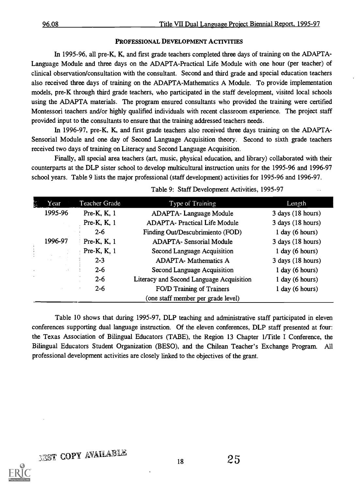#### PROFESSIONAL DEVELOPMENT ACTIVITIES

In 1995-96, all pre-K, K, and first grade teachers completed three days of training on the ADAPTA-Language Module and three days on the ADAPTA-Practical Life Module with one hour (per teacher) of clinical observation/consultation with the consultant. Second and third grade and special education teachers also received three days of training on the ADAPTA-Mathematics A Module. To provide implementation models, pre-K through third grade teachers, who participated in the staff development, visited local schools using the ADAPTA materials. The program ensured consultants who provided the training were certified Montessori teachers and/or highly qualified individuals with recent classroom experience. The project staff provided input to the consultants to ensure that the training addressed teachers needs.

In 1996-97, pre-K, K, and first grade teachers also received three days training on the ADAPTA-Sensorial Module and one day of Second Language Acquisition theory. Second to sixth grade teachers received two days of training on Literacy and Second Language Acquisition.

Finally, all special area teachers (art, music, physical education, and library) collaborated with their counterparts at the DLP sister school to develop multicultural instruction units for the 1995-96 and 1996-97 school years. Table 9 lists the major professional (staff development) activities for 1995-96 and 1996-97.

| Year                   | Teacher Grade  | Type of Training                         | Length                |
|------------------------|----------------|------------------------------------------|-----------------------|
| 1995-96                | Pre-K, K, 1    | <b>ADAPTA-Language Module</b>            | $3$ days $(18$ hours) |
|                        | Pre-K, K, 1    | <b>ADAPTA- Practical Life Module</b>     | $3$ days $(18$ hours) |
|                        | $2 - 6$        | Finding Out/Descubrimiento (FOD)         | $1$ day (6 hours)     |
| 1996-97                | Pre-K, K, 1    | <b>ADAPTA- Sensorial Module</b>          | $3$ days $(18$ hours) |
|                        | Pre-K, $K$ , 1 | Second Language Acquisition              | $1$ day (6 hours)     |
|                        | $2 - 3$        | <b>ADAPTA-</b> Mathematics A             | $3$ days $(18$ hours) |
| $\sim 3$<br>$\epsilon$ | $2 - 6$        | Second Language Acquisition              | $1$ day (6 hours)     |
|                        | $2 - 6$        | Literacy and Second Language Acquisition | $1$ day (6 hours)     |
|                        | $2 - 6$        | FO/D Training of Trainers                | 1 day (6 hours)       |
|                        |                | (one staff member per grade level)       |                       |

|  | Table 9: Staff Development Activities, 1995-97 |  |  |  |
|--|------------------------------------------------|--|--|--|
|--|------------------------------------------------|--|--|--|

Table 10 shows that during 1995-97, DLP teaching and administrative staff participated in eleven conferences supporting dual language instruction. Of the eleven conferences, DLP staff presented at four: the Texas Association of Bilingual Educators (TABE), the Region 13 Chapter 1/Title I Conference, the Bilingual Educators Student Organization (BESO), and the Chilean Teacher's Exchange Program. All professional development activities are closely linked to the objectives of the grant.

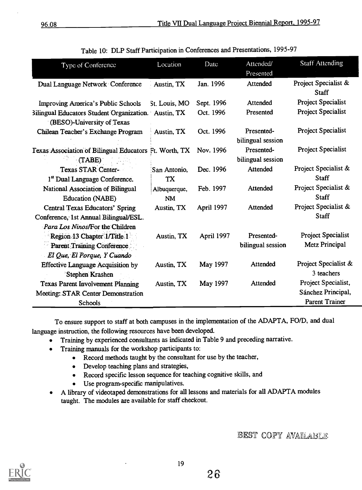| Type of Conference<br>Presented<br>Project Specialist &<br>Jan. 1996<br>Attended<br>Dual Language Network Conference<br>Austin, TX |
|------------------------------------------------------------------------------------------------------------------------------------|
|                                                                                                                                    |
|                                                                                                                                    |
| <b>Staff</b>                                                                                                                       |
| Project Specialist<br>Attended<br>Sept. 1996<br>Improving America's Public Schools<br>St. Louis, MO                                |
| Project Specialist<br>Oct. 1996<br>Presented<br>3ilingual Educators Student Organization. Austin, TX                               |
| (BESO)-University of Texas                                                                                                         |
| Project Specialist<br>Presented-<br>Oct. 1996<br>Chilean Teacher's Exchange Program<br>Austin, TX                                  |
| bilingual session                                                                                                                  |
| <b>Project Specialist</b><br>Presented-<br>Texas Association of Bilingual Educators Ft. Worth, TX<br>Nov. 1996                     |
| bilingual session<br>(TABE)                                                                                                        |
| Project Specialist &<br>Attended<br>Texas STAR Center-<br>Dec. 1996<br>San Antonio,                                                |
| <b>Staff</b><br>1 <sup>st</sup> Dual Language Conference.<br>TX                                                                    |
| Project Specialist &<br>National Association of Bilingual<br>Attended<br>Feb. 1997<br>Albuquerque,                                 |
| <b>Staff</b><br><b>Education (NABE)</b><br><b>NM</b>                                                                               |
| Project Specialist &<br>April 1997<br>Attended<br>Central Texas Educators' Spring<br>Austin, TX                                    |
| <b>Staff</b><br>Conference, 1st Annual Bilingual/ESL.                                                                              |
| Para Los Ninos/For the Children                                                                                                    |
| <b>Project Specialist</b><br>Presented-<br>April 1997<br>Region 13 Chapter 1/Title 1<br>Austin, TX                                 |
| Metz Principal<br>bilingual session<br><b>Parent Training Conference</b>                                                           |
| El Que, El Porque, Y Cuando                                                                                                        |
| Project Specialist &<br>May 1997<br>Attended<br><b>Effective Language Acquisition by</b><br>Austin, TX                             |
| 3 teachers<br>Stephen Krashen                                                                                                      |
| Project Specialist,<br>Attended<br><b>Texas Parent Involvement Planning</b><br>May 1997<br>Austin, TX                              |
| Sánchez Principal,<br>Meeting: STAR Center Demonstration                                                                           |
| <b>Parent Trainer</b><br>Schools                                                                                                   |

|  |  | Table 10: DLP Staff Participation in Conferences and Presentations, 1995-97 |  |  |  |
|--|--|-----------------------------------------------------------------------------|--|--|--|
|--|--|-----------------------------------------------------------------------------|--|--|--|

To ensure support to staff at both campuses in the implementation of the ADAPTA, FO/D, and dual language instruction, the following resources have been developed.

- Training by experienced consultants as indicated in Table 9 and preceding narrative.  $\bullet$
- Training manuals for the workshop participants to:  $\bullet$ 
	- Record methods taught by the consultant for use by the teacher,
	- Develop teaching plans and strategies,
	- Record specific lesson sequence for teaching cognitive skills, and
	- $\bullet$ Use program-specific manipulatives.
- A library of videotaped demonstrations for all lessons and materials for all ADAPTA modules  $\bullet$ taught. The modules are available for staff checkout.

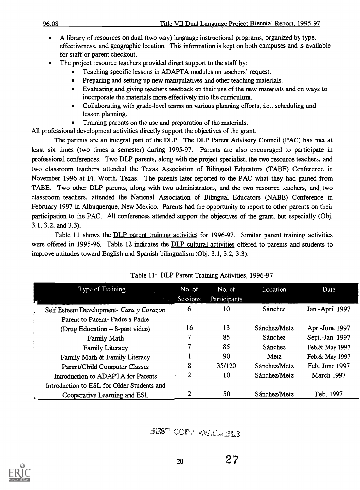- A library of resources on dual (two way) language instructional programs, organized by type, effectiveness, and geographic location. This information is kept on both campuses and is available for staff or parent checkout.
- The project resource teachers provided direct support to the staff by:
	- Teaching specific lessons in ADAPTA modules on teachers' request.
	- Preparing and setting up new manipulatives and other teaching materials.  $\bullet$
	- Evaluating and giving teachers feedback on their use of the new materials and on ways to incorporate the materials more effectively into the curriculum.
	- Collaborating with grade-level teams on various planning efforts, i.e., scheduling and  $\bullet$ lesson planning.
	- Training parents on the use and preparation of the materials.  $\bullet$

All professional development activities directly support the objectives of the grant.

The parents are an integral part of the DLP. The DLP Parent Advisory Council (PAC) has met at least six times (two times a semester) during 1995-97. Parents are also encouraged to participate in professional conferences. Two DLP parents, along with the project specialist, the two resource teachers, and two classroom teachers attended the Texas Association of Bilingual Educators (TABE) Conference in November 1996 at Ft. Worth, Texas. The parents later reported to the PAC what they had gained from TABE. Two other DLP parents, along with two administrators, and the two resource teachers, and two classroom teachers, attended the National Association of Bilingual Educators (NABE) Conference in February 1997 in Albuquerque, New Mexico. Parents had the opportunity to report to other parents on their participation to the PAC. All conferences attended support the objectives of the grant, but especially (Obj. 3.1, 3.2, and 3.3).

Table 11 shows the DLP parent training activities for 1996-97. Similar parent training activities were offered in 1995-96. Table 12 indicates the DLP cultural activities offered to parents and students to improve attitudes toward English and Spanish bilingualism (Obj. 3.1, 3.2, 3.3).

|   | Type of Training                           | No. of<br><b>Sessions</b> | No. of<br><b>Participants</b> | Location     | Date            |
|---|--------------------------------------------|---------------------------|-------------------------------|--------------|-----------------|
|   | Self Esteem Development- Cara y Corazon    | 6                         | 10                            | Sánchez      | Jan.-April 1997 |
|   | Parent to Parent-Padre a Padre             |                           |                               |              |                 |
|   | (Drug Education – 8-part video)            | 16                        | 13                            | Sánchez/Metz | Apr.-June 1997  |
|   | Family Math                                |                           | 85                            | Sánchez      | Sept.-Jan. 1997 |
|   | <b>Family Literacy</b>                     |                           | 85                            | Sánchez      | Feb.& May 1997  |
|   | Family Math & Family Literacy              |                           | 90                            | Metz         | Feb.& May 1997  |
|   | Parent/Child Computer Classes              | 8                         | 35/120                        | Sánchez/Metz | Feb, June 1997  |
|   | Introduction to ADAPTA for Parents         | 2                         | 10                            | Sánchez/Metz | March 1997      |
| ÷ | Introduction to ESL for Older Students and |                           |                               |              |                 |
|   | Cooperative Learning and ESL               |                           | 50                            | Sánchez/Metz | Feb. 1997       |

|  | Table 11: DLP Parent Training Activities, 1996-97 |  |
|--|---------------------------------------------------|--|
|--|---------------------------------------------------|--|

BEST COPY AVAILABLE

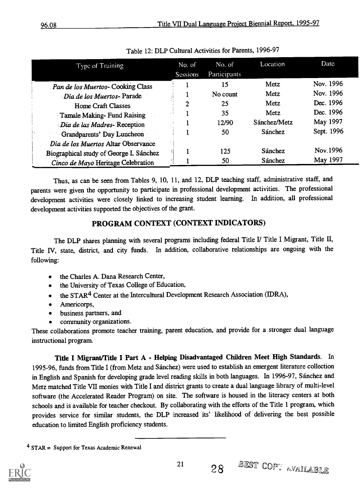| Type of Training                        | No. of<br>Sessions | No. of<br>Participants | Location     | Date       |
|-----------------------------------------|--------------------|------------------------|--------------|------------|
| Pan de los Muertos-Cooking Class        |                    | 15                     | Metz         | Nov. 1996  |
| Dia de los Muertos-Parade               |                    | No count               | Metz         | Nov. 1996  |
| <b>Home Craft Classes</b>               | 2                  | 25                     | Metz         | Dec. 1996  |
| Tamale Making-Fund Raising              |                    | 35                     | Metz         | Dec. 1996  |
| Dia de las Madres-Reception             |                    | 12/90                  | Sánchez/Metz | May 1997   |
| Grandparents' Day Luncheon              |                    | 50                     | Sánchez      | Sept. 1996 |
| Dia de los Muertos Altar Observance     |                    |                        |              |            |
| Biographical study of George I. Sánchez |                    | 125                    | Sánchez      | Nov.1996   |
| Cinco de Mayo Heritage Celebration      |                    | 50                     | Sánchez      | May 1997   |

Table 12: DLP Cultural Activities for Parents, 1996-97

Thus, as can be seen from Tables 9, 10, 11, and 12, DLP teaching staff, administrative staff, and parents were given the opportunity to participate in professional development activities. The professional development activities were closely linked to increasing student learning. In addition, all professional development activities supported the objectives of the grant.

## PROGRAM CONTEXT (CONTEXT INDICATORS)

The DLP shares planning with several programs including federal Title I Title I Migrant, Title II, Title IV, state, district, and city funds. In addition, collaborative relationships are ongoing with the following:

- the Charles A. Dana Research Center,
- the University of Texas College of Education,  $\bullet$
- the STAR4 Center at the Intercultural Development Research Association (IDRA),
- Americorps,
- business partners, and
- community organizations.

These collaborations promote teacher training, parent education, and provide for a stronger dual language instructional program.

Title I Migrant/Tide I Part A - Helping Disadvantaged Children Meet High Standards. In 1995-96, funds from Title I (from Metz and Sanchez) were used to establish an emergent literature collection in English and Spanish for developing grade level reading skills in both languages. In 1996-97, Sanchez and Metz matched Title VII monies with Title I and district grants to create a dual language library of multi-level software (the Accelerated Reader Program) on site. The software is housed in the literacy centers at both schools and is available for teacher checkout. By collaborating with the efforts of the Title 1 program, which provides service for similar students, the DLP increased its' likelihood of delivering the best possible education to limited English proficiency students.

 $4$  STAR = Support for Texas Academic Renewal

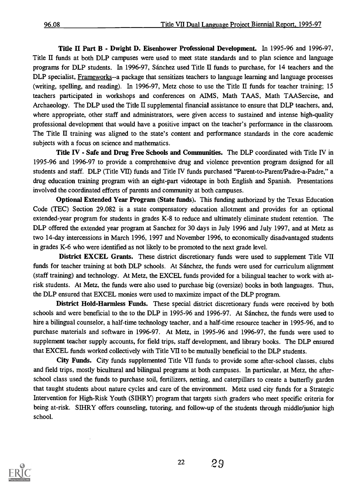Title H Part B - Dwight D. Eisenhower Professional Development. In 1995-96 and 1996-97, Title II funds at both DLP campuses were used to meet state standards and to plan science and language programs for DLP students. In 1996-97, Sanchez used Title II funds to purchase, for 14 teachers and the DLP specialist, Frameworks--a package that sensitizes teachers to language learning and language processes (writing, spelling, and reading). In 1996-97, Metz chose to use the Title II funds for teacher training; 15 teachers participated in workshops and conferences on AIMS, Math TAAS, Math TAASercise, and Archaeology. The DLP used the Title II supplemental fmancial assistance to ensure that DLP teachers, and, where appropriate, other staff and administrators, were given access to sustained and intense high-quality professional development that would have a positive impact on the teacher's performance in the classroom. The Title II training was aligned to the state's content and performance standards in the core academic subjects with a focus on science and mathematics.

Title IV - Safe and Drug Free Schools and Communities. The DLP coordinated with Title IV in 1995-96 and 1996-97 to provide a comprehensive drug and violence prevention program designed for all students and staff. DLP (Title VII) funds and Title IV funds purchased "Parent-to-Parent/Padre-a-Padre," a drug education training program with an eight-part videotape in both English and Spanish. Presentations involved the coordinated efforts of parents and community at both campuses.

Optional Extended Year Program (State funds). This funding authorized by the Texas Education Code (TEC) Section 29.082 is a state compensatory education allotment and provides for an optional extended-year program for students in grades K-8 to reduce and ultimately eliminate student retention. The DLP offered the extended year program at Sanchez for 30 days in July 1996 and July 1997, and at Metz as two 14-day intercessions in March 1996, 1997 and November 1996, to economically disadvantaged students in grades K-6 who were identified as not likely to be promoted to the next grade level.

District EXCEL Grants. These district discretionary funds were used to supplement Title VII funds for teacher training at both DLP schools. At Sánchez, the funds were used for curriculum alignment (staff training) and technology. At Metz, the EXCEL funds provided for a bilingual teacher to work with atrisk students. At Metz, the funds were also used to purchase big (oversize) books in both languages. Thus, the DLP ensured that EXCEL monies were used to maximize impact of the DLP program

District Hold-Harmless Funds. These special district discretionary funds were received by both schools and were beneficial to the to the DLP in 1995-96 and 1996-97. At Sanchez, the funds were used to hire a bilingual counselor, a half-time technology teacher, and a half-time resource teacher in 1995-96, and to purchase materials and software in 1996-97. At Metz, in 1995-96 and 1996-97, the funds were used to supplement teacher supply accounts, for field trips, staff development, and library books. The DLP ensured that EXCEL funds worked collectively with Title VII to be mutually beneficial to the DLP students.

City Funds. City funds supplemented Title VII funds to provide some after-school classes, clubs and field trips, mostly bicultural and bilingual programs at both campuses. In particular, at Metz, the afterschool class used the funds to purchase soil, fertilizers, netting, and caterpillars to create a butterfly garden that taught students about nature cycles and care of the environment. Metz used city funds for a Strategic Intervention for High-Risk Youth (SIHRY) program that targets sixth graders who meet specific criteria for being at-risk. SIHRY offers counseling, tutoring, and follow-up of the students through middle/junior high school.

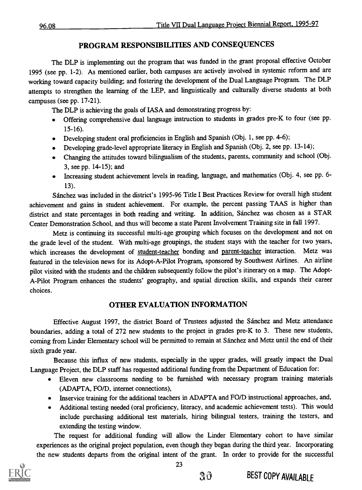## PROGRAM RESPONSIBILITIES AND CONSEQUENCES

The DLP is implementing out the program that was funded in the grant proposal effective October 1995 (see pp. 1-2). As mentioned earlier, both campuses are actively involved in systemic reform and are working toward capacity building; and fostering the development of the Dual Language Program. The DLP attempts to strengthen the learning of the LEP, and linguistically and culturally diverse students at both campuses (see pp. 17-21).

The DLP is achieving the goals of IASA and demonstrating progress by:

- Offering comprehensive dual language instruction to students in grades pre-K to four (see pp.  $\bullet$ 15-16).
- Developing student oral proficiencies in English and Spanish (Obj. 1, see pp. 4-6);
- Developing grade-level appropriate literacy in English and Spanish (Obj. 2, see pp. 13-14);
- Changing the attitudes toward bilingualism of the students, parents, community and school (Obj. 3, see pp. 14-15); and
- Increasing student achievement levels in reading, language, and mathematics (Obj. 4, see pp. 6- 13).

Sanchez was included in the district's 1995-96 Title I Best Practices Review for overall high student achievement and gains in student achievement. For example, the percent passing TAAS is higher than district and state percentages in both reading and writing. In addition, Sánchez was chosen as a STAR Center Demonstration School, and thus will become a state Parent Involvement Training site in fall 1997.

Metz is continuing its successful multi-age grouping which focuses on the development and not on the grade level of the student. With multi-age groupings, the student stays with the teacher for two years, which increases the development of student-teacher bonding and parent-teacher interaction. Metz was featured in the television news for its Adopt-A-Pilot Program, sponsored by Southwest Airlines. An airline pilot visited with the students and the children subsequently follow the pilot's itinerary on a map. The Adopt-A-Pilot Program enhances the students' geography, and spatial direction skills, and expands their career choices.

## OTHER EVALUATION INFORMATION

Effective August 1997, the district Board of Trustees adjusted the Sánchez and Metz attendance boundaries, adding a total of 272 new students to the project in grades pre-K to 3. These new students, coming from Linder Elementary school will be permitted to remain at Sanchez and Metz until the end of their sixth grade year.

Because this influx of new students, especially in the upper grades, will greatly impact the Dual Language Project, the DLP staff has requested additional funding from the Department of Education for:

- Eleven new classrooms needing to be furnished with necessary program training materials (ADAPTA, FO/D, internet connections),
- Inservice training for the additional teachers in ADAPTA and FO/D instructional approaches, and,
- Additional testing needed (oral proficiency, literacy, and academic achievement tests). This would include purchasing additional test materials, hiring bilingual testers, training the testers, and extending the testing window.

The request for additional funding will allow the Linder Elementary cohort to have similar experiences as the original project population, even though they began during the third year. Incorporating the new students departs from the original intent of the grant. In order to provide for the successful



30 BEST COPY AVAILABLE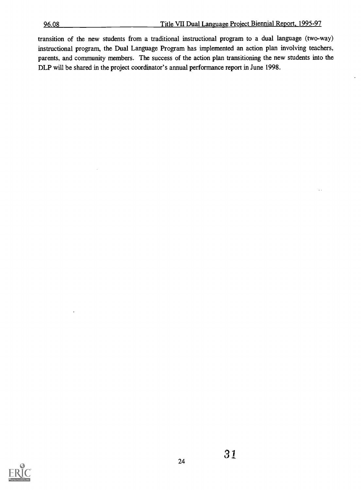transition of the new students from a traditional instructional program to a dual language (two-way) instructional program, the Dual Language Program has implemented an action plan involving teachers, parents, and community members. The success of the action plan transitioning the new students into the DLP will be shared in the project coordinator's annual performance report in June 1998.

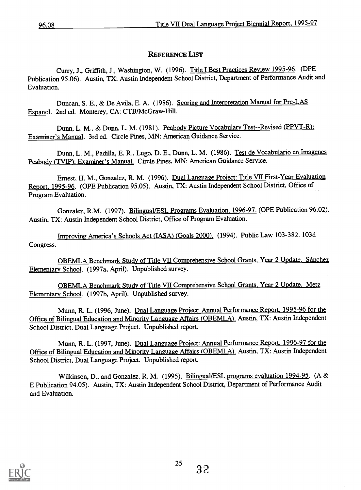## REFERENCE LIST

Curry, J., Griffith, J., Washington, W. (1996). Title I Best Practices Review 1995-96. (DPE Publication 95.06). Austin, TX: Austin Independent School District, Department of Performance Audit and Evaluation.

Duncan, S. E., & De Avila, E. A. (1986). Scoring and Interpretation Manual for Pre-LAS Espanol. 2nd ed. Monterey, CA: CTB/McGraw-Hill.

Dunn, L. M., & Dunn, L. M. (1981). Peabody Picture Vocabulary Test--Revised (PPVT-R): Examiner's Manual. 3rd ed. Circle Pines, MN: American Guidance Service.

Dunn, L. M., Padilla, E. R., Lugo, D. E., Dunn, L. M. (1986). Test de Vocabulario en Imagenes Peabody (TVIP): Examiner's Manual. Circle Pines, MN: American Guidance Service.

Ernest, H. M., Gonzalez, R. M. (1996). Dual Language Project: Title VII First-Year Evaluation Report, 1995-96. (OPE Publication 95.05). Austin, TX: Austin Independent School District, Office of Program Evaluation.

Gonzalez, R.M. (1997). Bilingual/ESL Programs Evaluation, 1996-97. (OPE Publication 96.02). Austin, TX: Austin Independent School District, Office of Program Evaluation.

Improving America's Schools Act (IASA) (Goals 2000). (1994). Public Law 103-382. 103d Congress.

OBEMLA Benchmark Study of Title VII Comprehensive School Grants, Year 2 Update. Sánchez Elementary School. (1997a, April). Unpublished survey.

OBEMLA Benchmark Study of Title VII Comprehensive School Grants, Year 2 Update. Metz Elementary School. (1997b, April). Unpublished survey.

Munn, R. L. (1996, June). Dual Language Project: Annual Performance Report, 1995-96 for the Office of Bilingual Education and Minority Language Affairs (OBEMLA). Austin, TX: Austin Independent School District, Dual Language Project. Unpublished report.

Munn, R. L. (1997, June). Dual Language Project: Annual Performance Report, 1996-97 for the Office of Bilingual Education and Minority Language Affairs (OBEMLA). Austin, TX: Austin Independent School District, Dual Language Project. Unpublished report.

Wilkinson, D., and Gonzalez, R. M. (1995). Bilingual/ESL programs evaluation 1994-95. (A & E Publication 94.05). Austin, TX: Austin Independent School District, Department of Performance Audit and Evaluation.

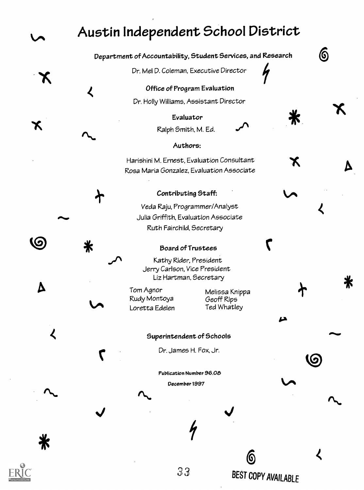# Austin Independent School District

Department of Accountability, Student Services, and Research **6** 

Dr. Mel D. Coleman, Executive Director

Office of Program Evaluation Dr. Holly Williams, Assistant Director

> Evaluator Ralph Smith, M. Ed.

## Authors:

Harishini M. Ernest, Evaluation Consultant Rosa Maria Gonzalez, Evaluation Associate

## Contributing Staff:

Veda Raju, Programmer/Analyst Julia Griffith, Evaluation Associate Ruth Fairchild, Secretary

#### Board of Trustees

Kathy Rider, President Jerry Carlson, Vice President Liz Hartman, Secretary

Tom Agnor Rudy Montoya Loretta Edelen

 $\Delta$ 

 $\boldsymbol{\mathcal{L}}$ 

⋇

(6

 $\boldsymbol{\mathcal{L}}$ 

Melissa Knippa Geoff Rips Ted Whatley

ba

Ж

BEST COPY AVAILABLE

6

.1%

(6

#### Superintendent of Schools

Dr. James H. Fox, Jr.

Publication Number 96.05 December1997